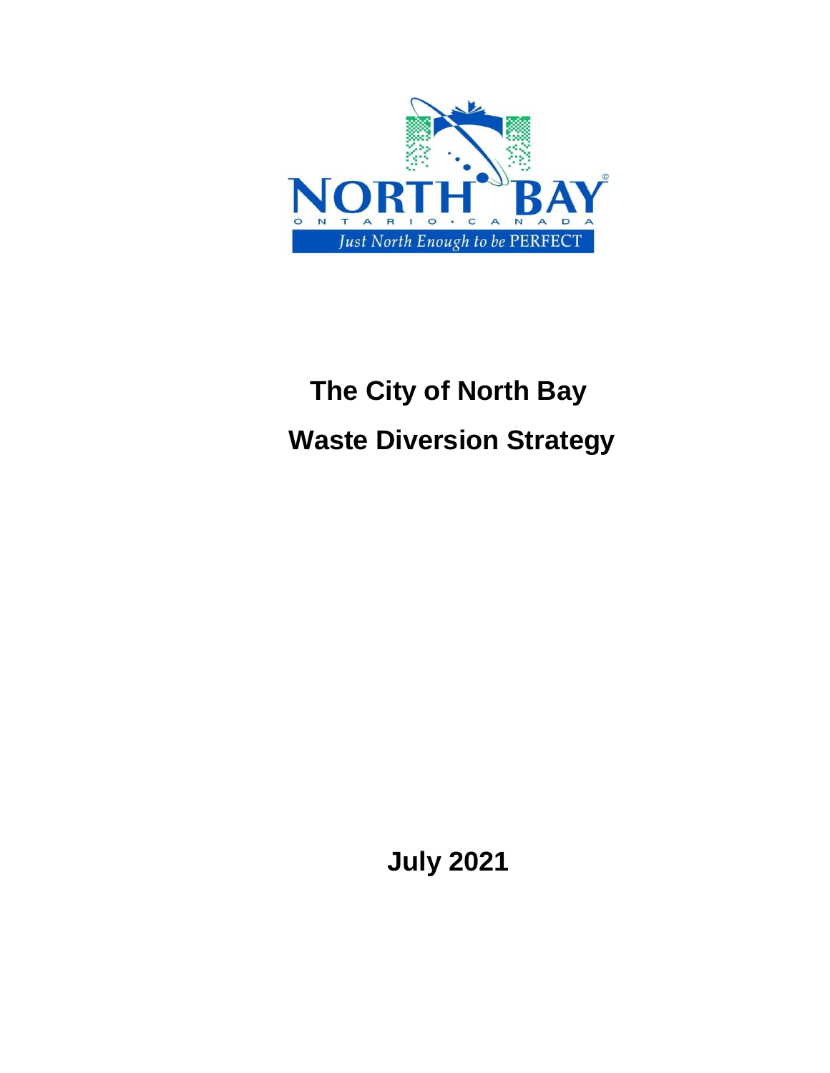

# **The City of North Bay Waste Diversion Strategy**

**July 2021**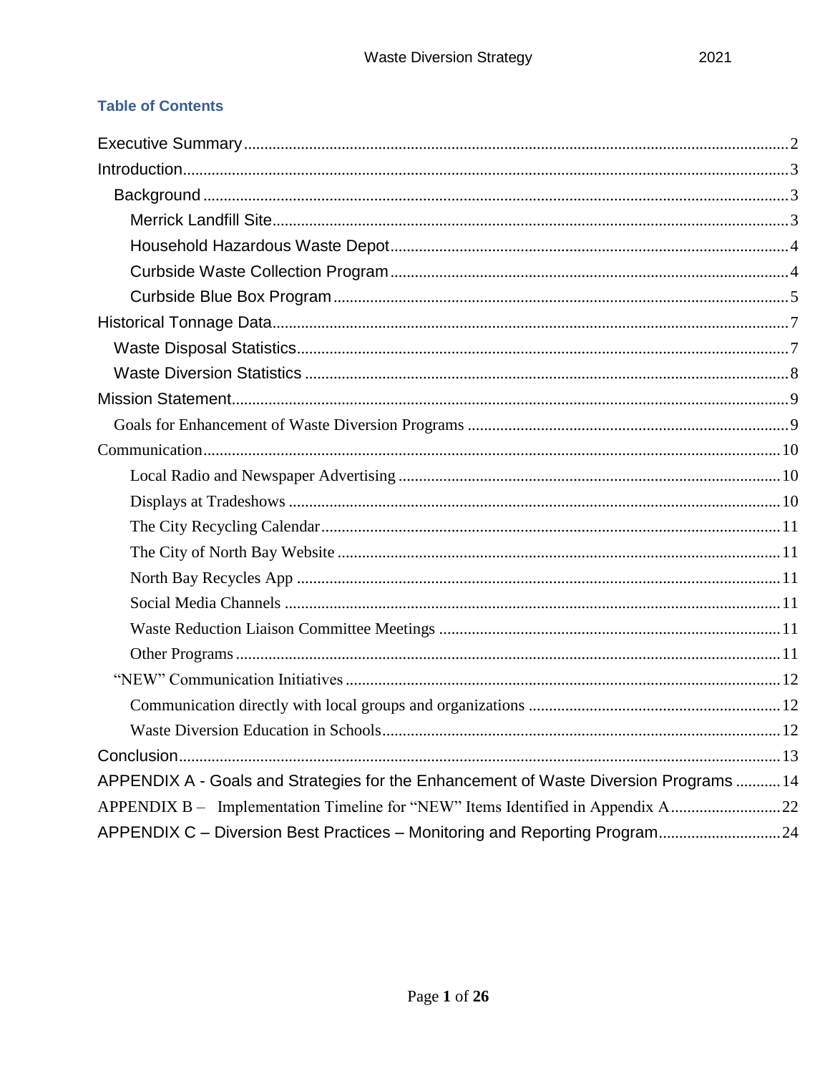## **Table of Contents**

| APPENDIX A - Goals and Strategies for the Enhancement of Waste Diversion Programs  14 |  |
|---------------------------------------------------------------------------------------|--|
| APPENDIX B - Implementation Timeline for "NEW" Items Identified in Appendix A22       |  |
| APPENDIX C - Diversion Best Practices - Monitoring and Reporting Program 24           |  |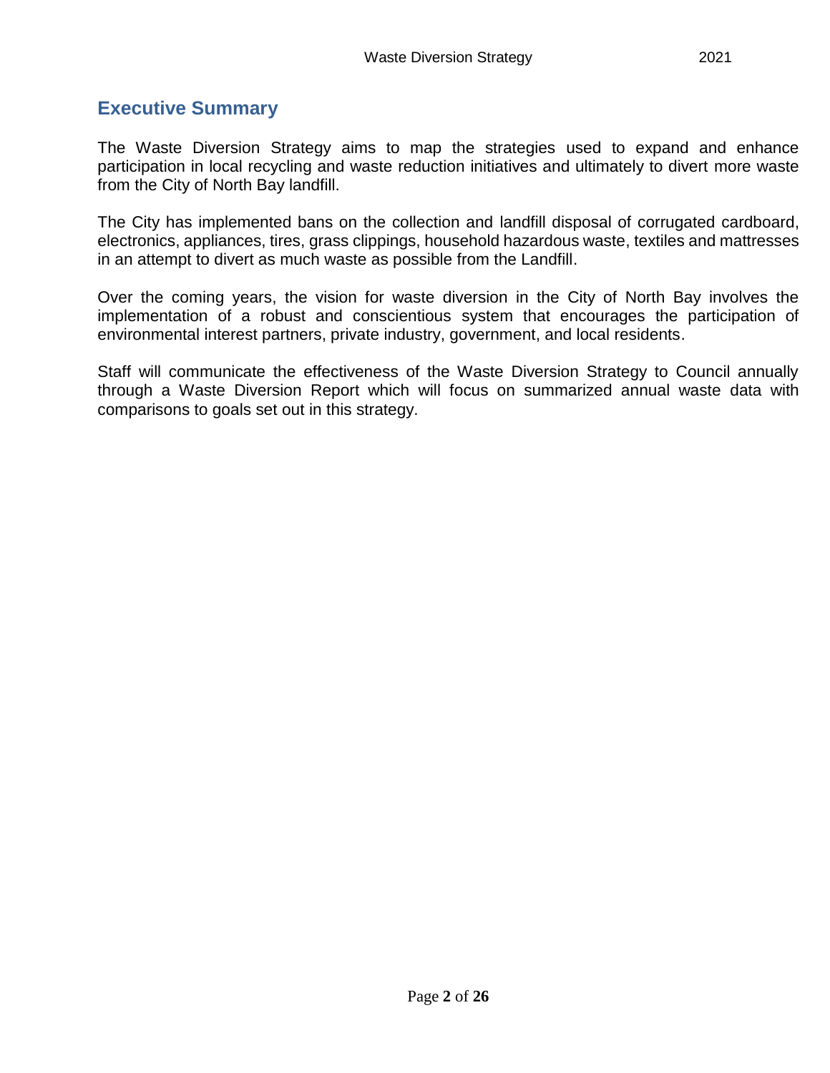## <span id="page-2-0"></span>**Executive Summary**

The Waste Diversion Strategy aims to map the strategies used to expand and enhance participation in local recycling and waste reduction initiatives and ultimately to divert more waste from the City of North Bay landfill.

The City has implemented bans on the collection and landfill disposal of corrugated cardboard, electronics, appliances, tires, grass clippings, household hazardous waste, textiles and mattresses in an attempt to divert as much waste as possible from the Landfill.

Over the coming years, the vision for waste diversion in the City of North Bay involves the implementation of a robust and conscientious system that encourages the participation of environmental interest partners, private industry, government, and local residents.

Staff will communicate the effectiveness of the Waste Diversion Strategy to Council annually through a Waste Diversion Report which will focus on summarized annual waste data with comparisons to goals set out in this strategy.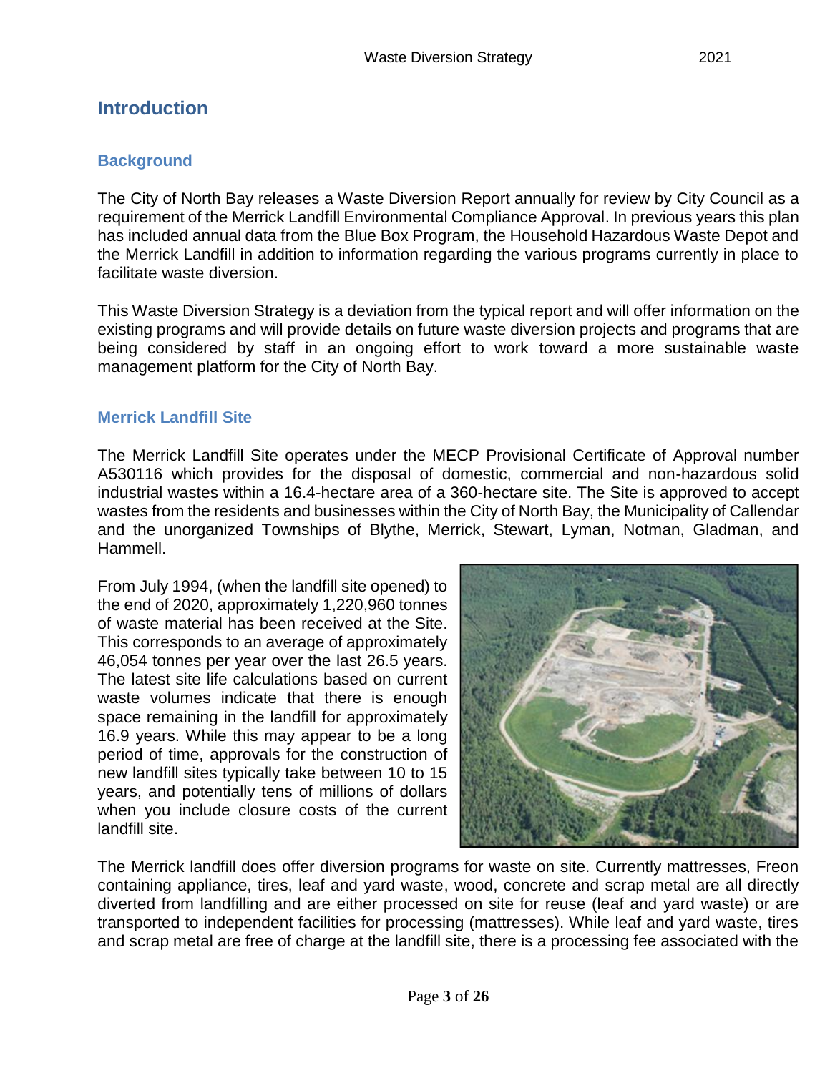# <span id="page-3-0"></span>**Introduction**

#### <span id="page-3-1"></span>**Background**

The City of North Bay releases a Waste Diversion Report annually for review by City Council as a requirement of the Merrick Landfill Environmental Compliance Approval. In previous years this plan has included annual data from the Blue Box Program, the Household Hazardous Waste Depot and the Merrick Landfill in addition to information regarding the various programs currently in place to facilitate waste diversion.

This Waste Diversion Strategy is a deviation from the typical report and will offer information on the existing programs and will provide details on future waste diversion projects and programs that are being considered by staff in an ongoing effort to work toward a more sustainable waste management platform for the City of North Bay.

#### <span id="page-3-2"></span>**Merrick Landfill Site**

The Merrick Landfill Site operates under the MECP Provisional Certificate of Approval number A530116 which provides for the disposal of domestic, commercial and non-hazardous solid industrial wastes within a 16.4-hectare area of a 360-hectare site. The Site is approved to accept wastes from the residents and businesses within the City of North Bay, the Municipality of Callendar and the unorganized Townships of Blythe, Merrick, Stewart, Lyman, Notman, Gladman, and Hammell.

From July 1994, (when the landfill site opened) to the end of 2020, approximately 1,220,960 tonnes of waste material has been received at the Site. This corresponds to an average of approximately 46,054 tonnes per year over the last 26.5 years. The latest site life calculations based on current waste volumes indicate that there is enough space remaining in the landfill for approximately 16.9 years. While this may appear to be a long period of time, approvals for the construction of new landfill sites typically take between 10 to 15 years, and potentially tens of millions of dollars when you include closure costs of the current landfill site.



The Merrick landfill does offer diversion programs for waste on site. Currently mattresses, Freon containing appliance, tires, leaf and yard waste, wood, concrete and scrap metal are all directly diverted from landfilling and are either processed on site for reuse (leaf and yard waste) or are transported to independent facilities for processing (mattresses). While leaf and yard waste, tires and scrap metal are free of charge at the landfill site, there is a processing fee associated with the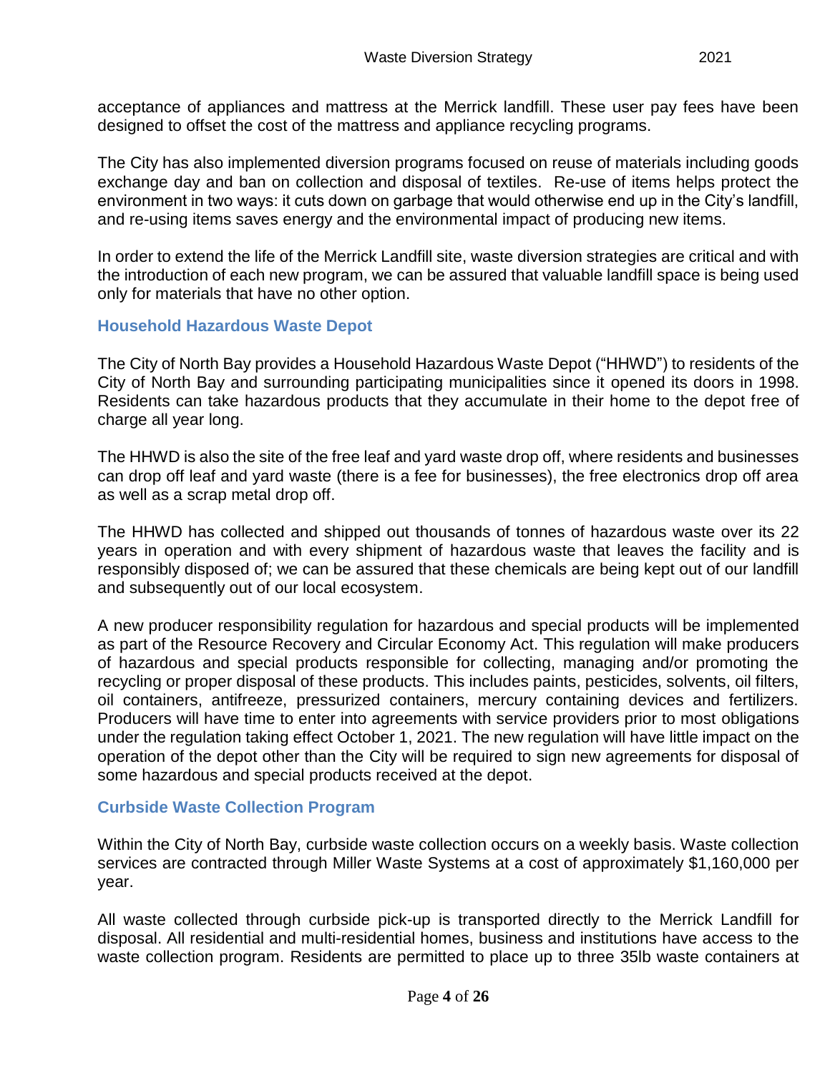acceptance of appliances and mattress at the Merrick landfill. These user pay fees have been designed to offset the cost of the mattress and appliance recycling programs.

The City has also implemented diversion programs focused on reuse of materials including goods exchange day and ban on collection and disposal of textiles. Re-use of items helps protect the environment in two ways: it cuts down on garbage that would otherwise end up in the City's landfill, and re-using items saves energy and the environmental impact of producing new items.

In order to extend the life of the Merrick Landfill site, waste diversion strategies are critical and with the introduction of each new program, we can be assured that valuable landfill space is being used only for materials that have no other option.

## <span id="page-4-0"></span>**Household Hazardous Waste Depot**

The City of North Bay provides a Household Hazardous Waste Depot ("HHWD") to residents of the City of North Bay and surrounding participating municipalities since it opened its doors in 1998. Residents can take hazardous products that they accumulate in their home to the depot free of charge all year long.

The HHWD is also the site of the free leaf and yard waste drop off, where residents and businesses can drop off leaf and yard waste (there is a fee for businesses), the free electronics drop off area as well as a scrap metal drop off.

The HHWD has collected and shipped out thousands of tonnes of hazardous waste over its 22 years in operation and with every shipment of hazardous waste that leaves the facility and is responsibly disposed of; we can be assured that these chemicals are being kept out of our landfill and subsequently out of our local ecosystem.

A new producer responsibility regulation for hazardous and special products will be implemented as part of the Resource Recovery and Circular Economy Act. This regulation will make producers of hazardous and special products responsible for collecting, managing and/or promoting the recycling or proper disposal of these products. This includes paints, pesticides, solvents, oil filters, oil containers, antifreeze, pressurized containers, mercury containing devices and fertilizers. Producers will have time to enter into agreements with service providers prior to most obligations under the regulation taking effect October 1, 2021. The new regulation will have little impact on the operation of the depot other than the City will be required to sign new agreements for disposal of some hazardous and special products received at the depot.

#### <span id="page-4-1"></span>**Curbside Waste Collection Program**

Within the City of North Bay, curbside waste collection occurs on a weekly basis. Waste collection services are contracted through Miller Waste Systems at a cost of approximately \$1,160,000 per year.

All waste collected through curbside pick-up is transported directly to the Merrick Landfill for disposal. All residential and multi-residential homes, business and institutions have access to the waste collection program. Residents are permitted to place up to three 35lb waste containers at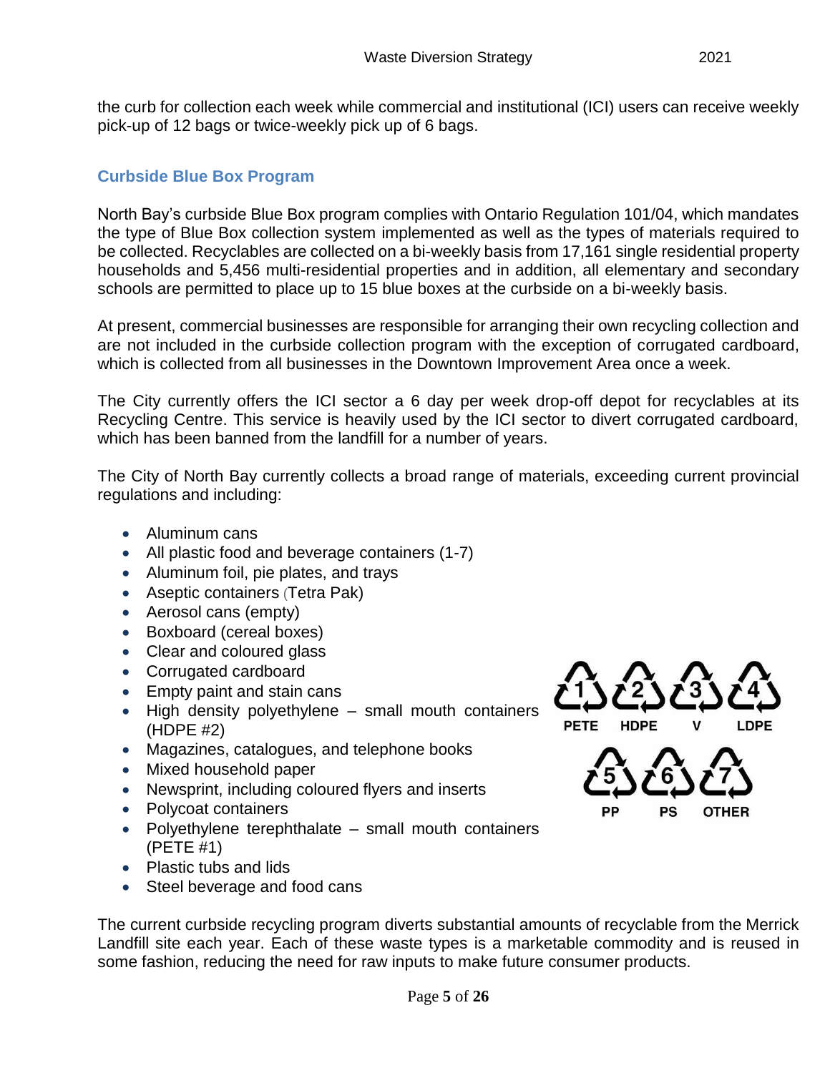#### <span id="page-5-0"></span>**Curbside Blue Box Program**

North Bay's curbside Blue Box program complies with Ontario Regulation 101/04, which mandates the type of Blue Box collection system implemented as well as the types of materials required to be collected. Recyclables are collected on a bi-weekly basis from 17,161 single residential property households and 5,456 multi-residential properties and in addition, all elementary and secondary schools are permitted to place up to 15 blue boxes at the curbside on a bi-weekly basis.

At present, commercial businesses are responsible for arranging their own recycling collection and are not included in the curbside collection program with the exception of corrugated cardboard, which is collected from all businesses in the Downtown Improvement Area once a week.

The City currently offers the ICI sector a 6 day per week drop-off depot for recyclables at its Recycling Centre. This service is heavily used by the ICI sector to divert corrugated cardboard, which has been banned from the landfill for a number of years.

The City of North Bay currently collects a broad range of materials, exceeding current provincial regulations and including:

- Aluminum cans
- All plastic food and beverage containers (1-7)
- Aluminum foil, pie plates, and trays
- Aseptic containers (Tetra Pak)
- Aerosol cans (empty)
- Boxboard (cereal boxes)
- Clear and coloured glass
- Corrugated cardboard
- Empty paint and stain cans
- High density polyethylene small mouth containers (HDPE #2)
- Magazines, catalogues, and telephone books
- Mixed household paper
- Newsprint, including coloured flyers and inserts
- Polycoat containers
- Polyethylene terephthalate small mouth containers (PETE #1)
- Plastic tubs and lids
- Steel beverage and food cans

PETE **HDPE** 



The current curbside recycling program diverts substantial amounts of recyclable from the Merrick Landfill site each year. Each of these waste types is a marketable commodity and is reused in some fashion, reducing the need for raw inputs to make future consumer products.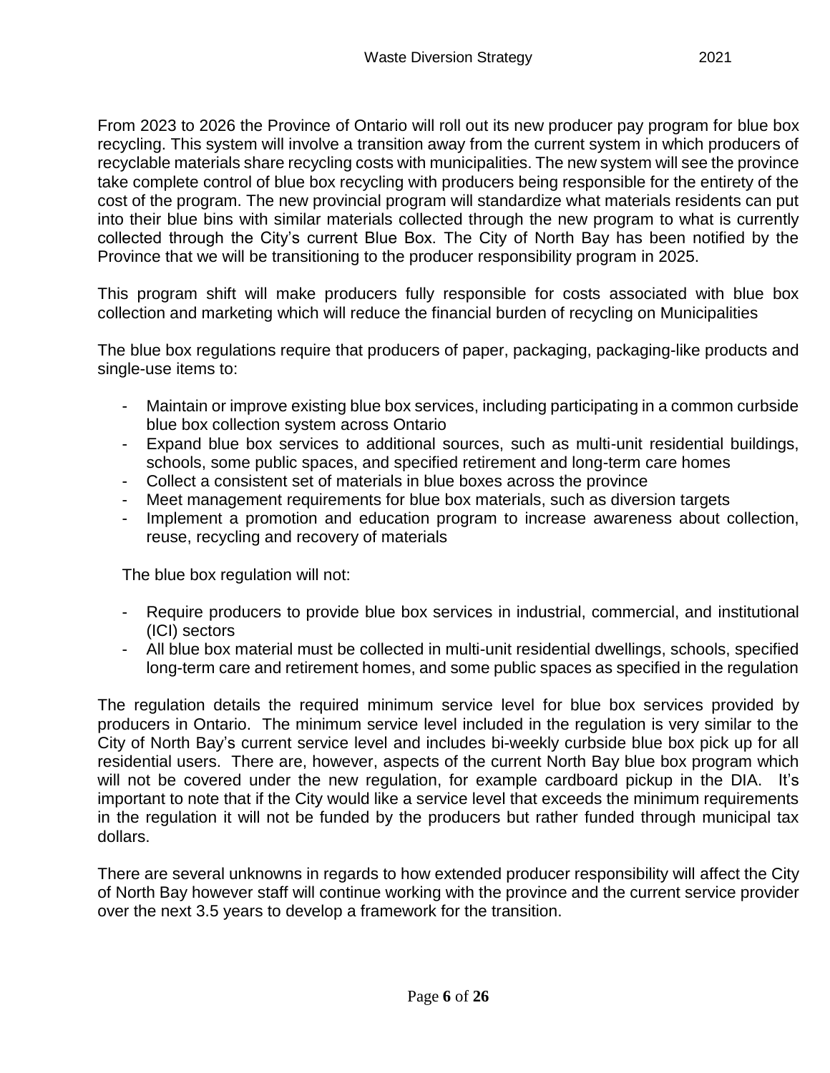From 2023 to 2026 the Province of Ontario will roll out its new producer pay program for blue box recycling. This system will involve a transition away from the current system in which producers of recyclable materials share recycling costs with municipalities. The new system will see the province take complete control of blue box recycling with producers being responsible for the entirety of the cost of the program. The new provincial program will standardize what materials residents can put into their blue bins with similar materials collected through the new program to what is currently collected through the City's current Blue Box. The City of North Bay has been notified by the Province that we will be transitioning to the producer responsibility program in 2025.

This program shift will make producers fully responsible for costs associated with blue box collection and marketing which will reduce the financial burden of recycling on Municipalities

The blue box regulations require that producers of paper, packaging, packaging-like products and single-use items to:

- Maintain or improve existing blue box services, including participating in a common curbside blue box collection system across Ontario
- Expand blue box services to additional sources, such as multi-unit residential buildings, schools, some public spaces, and specified retirement and long-term care homes
- Collect a consistent set of materials in blue boxes across the province
- Meet management requirements for blue box materials, such as diversion targets
- Implement a promotion and education program to increase awareness about collection, reuse, recycling and recovery of materials

The blue box regulation will not:

- Require producers to provide blue box services in industrial, commercial, and institutional (ICI) sectors
- All blue box material must be collected in multi-unit residential dwellings, schools, specified long-term care and retirement homes, and some public spaces as specified in the regulation

The regulation details the required minimum service level for blue box services provided by producers in Ontario. The minimum service level included in the regulation is very similar to the City of North Bay's current service level and includes bi-weekly curbside blue box pick up for all residential users. There are, however, aspects of the current North Bay blue box program which will not be covered under the new regulation, for example cardboard pickup in the DIA. It's important to note that if the City would like a service level that exceeds the minimum requirements in the regulation it will not be funded by the producers but rather funded through municipal tax dollars.

There are several unknowns in regards to how extended producer responsibility will affect the City of North Bay however staff will continue working with the province and the current service provider over the next 3.5 years to develop a framework for the transition.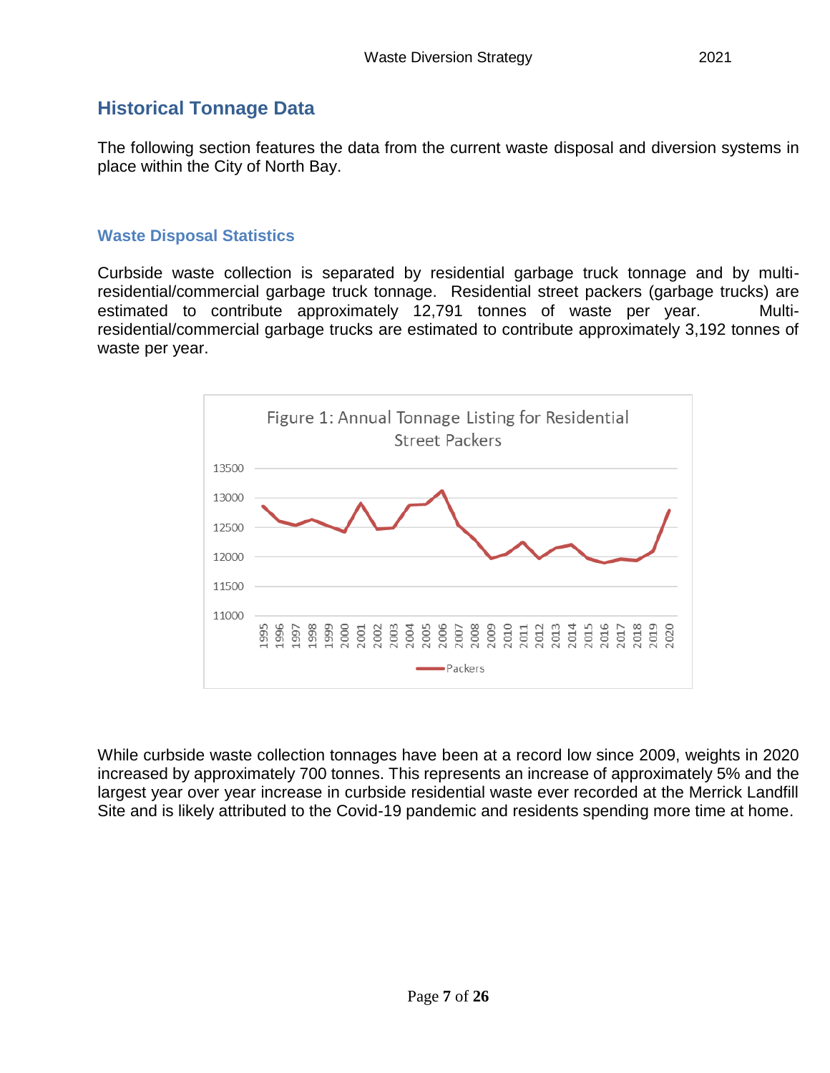<span id="page-7-0"></span>The following section features the data from the current waste disposal and diversion systems in place within the City of North Bay.

## <span id="page-7-1"></span>**Waste Disposal Statistics**

Curbside waste collection is separated by residential garbage truck tonnage and by multiresidential/commercial garbage truck tonnage. Residential street packers (garbage trucks) are estimated to contribute approximately 12,791 tonnes of waste per year. Multiresidential/commercial garbage trucks are estimated to contribute approximately 3,192 tonnes of waste per year.



While curbside waste collection tonnages have been at a record low since 2009, weights in 2020 increased by approximately 700 tonnes. This represents an increase of approximately 5% and the largest year over year increase in curbside residential waste ever recorded at the Merrick Landfill Site and is likely attributed to the Covid-19 pandemic and residents spending more time at home.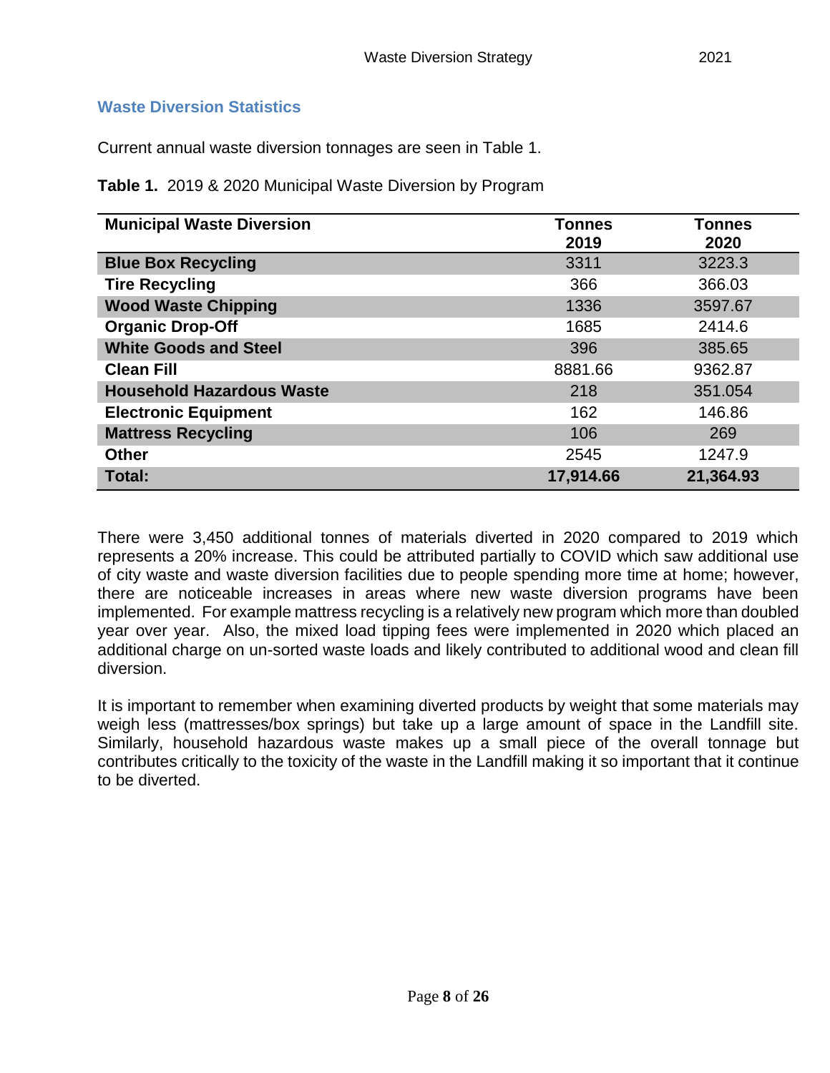#### <span id="page-8-0"></span>**Waste Diversion Statistics**

Current annual waste diversion tonnages are seen in Table 1.

**Table 1.** 2019 & 2020 Municipal Waste Diversion by Program

| <b>Municipal Waste Diversion</b> | <b>Tonnes</b><br>2019 | <b>Tonnes</b><br>2020 |
|----------------------------------|-----------------------|-----------------------|
| <b>Blue Box Recycling</b>        | 3311                  | 3223.3                |
| <b>Tire Recycling</b>            | 366                   | 366.03                |
| <b>Wood Waste Chipping</b>       | 1336                  | 3597.67               |
| <b>Organic Drop-Off</b>          | 1685                  | 2414.6                |
| <b>White Goods and Steel</b>     | 396                   | 385.65                |
| <b>Clean Fill</b>                | 8881.66               | 9362.87               |
| <b>Household Hazardous Waste</b> | 218                   | 351.054               |
| <b>Electronic Equipment</b>      | 162                   | 146.86                |
| <b>Mattress Recycling</b>        | 106                   | 269                   |
| <b>Other</b>                     | 2545                  | 1247.9                |
| Total:                           | 17,914.66             | 21,364.93             |

There were 3,450 additional tonnes of materials diverted in 2020 compared to 2019 which represents a 20% increase. This could be attributed partially to COVID which saw additional use of city waste and waste diversion facilities due to people spending more time at home; however, there are noticeable increases in areas where new waste diversion programs have been implemented. For example mattress recycling is a relatively new program which more than doubled year over year. Also, the mixed load tipping fees were implemented in 2020 which placed an additional charge on un-sorted waste loads and likely contributed to additional wood and clean fill diversion.

It is important to remember when examining diverted products by weight that some materials may weigh less (mattresses/box springs) but take up a large amount of space in the Landfill site. Similarly, household hazardous waste makes up a small piece of the overall tonnage but contributes critically to the toxicity of the waste in the Landfill making it so important that it continue to be diverted.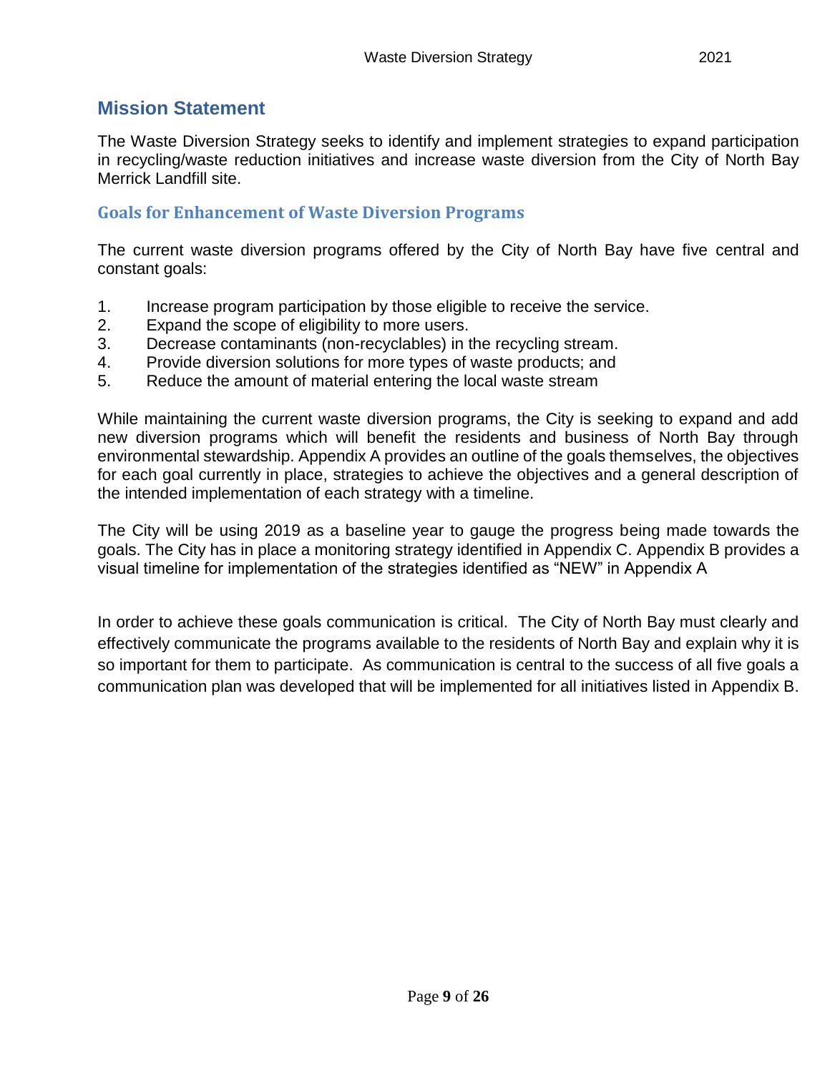## <span id="page-9-0"></span>**Mission Statement**

The Waste Diversion Strategy seeks to identify and implement strategies to expand participation in recycling/waste reduction initiatives and increase waste diversion from the City of North Bay Merrick Landfill site.

#### <span id="page-9-1"></span>**Goals for Enhancement of Waste Diversion Programs**

The current waste diversion programs offered by the City of North Bay have five central and constant goals:

- 1. Increase program participation by those eligible to receive the service.
- 2. Expand the scope of eligibility to more users.
- 3. Decrease contaminants (non-recyclables) in the recycling stream.
- 4. Provide diversion solutions for more types of waste products; and
- 5. Reduce the amount of material entering the local waste stream

While maintaining the current waste diversion programs, the City is seeking to expand and add new diversion programs which will benefit the residents and business of North Bay through environmental stewardship. Appendix A provides an outline of the goals themselves, the objectives for each goal currently in place, strategies to achieve the objectives and a general description of the intended implementation of each strategy with a timeline.

The City will be using 2019 as a baseline year to gauge the progress being made towards the goals. The City has in place a monitoring strategy identified in Appendix C. Appendix B provides a visual timeline for implementation of the strategies identified as "NEW" in Appendix A

In order to achieve these goals communication is critical. The City of North Bay must clearly and effectively communicate the programs available to the residents of North Bay and explain why it is so important for them to participate. As communication is central to the success of all five goals a communication plan was developed that will be implemented for all initiatives listed in Appendix B.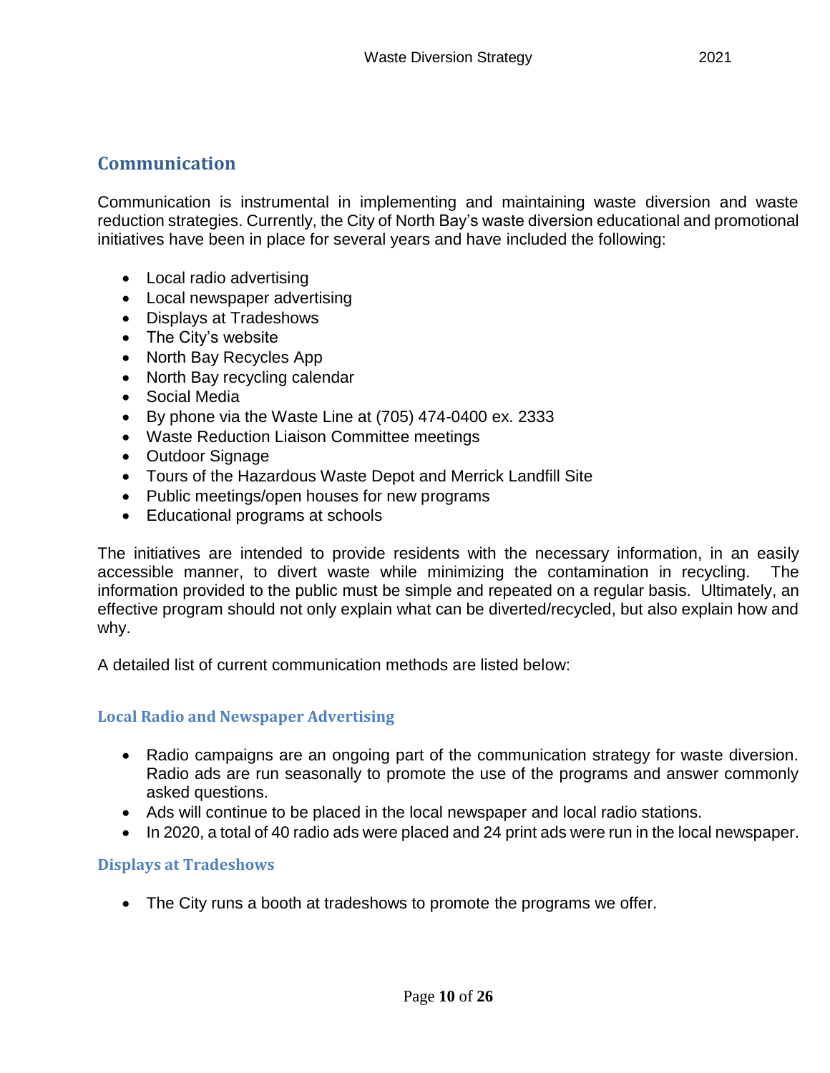## <span id="page-10-0"></span>**Communication**

Communication is instrumental in implementing and maintaining waste diversion and waste reduction strategies. Currently, the City of North Bay's waste diversion educational and promotional initiatives have been in place for several years and have included the following:

- Local radio advertising
- Local newspaper advertising
- Displays at Tradeshows
- The City's website
- North Bay Recycles App
- North Bay recycling calendar
- Social Media
- By phone via the Waste Line at (705) 474-0400 ex. 2333
- Waste Reduction Liaison Committee meetings
- Outdoor Signage
- Tours of the Hazardous Waste Depot and Merrick Landfill Site
- Public meetings/open houses for new programs
- Educational programs at schools

The initiatives are intended to provide residents with the necessary information, in an easily accessible manner, to divert waste while minimizing the contamination in recycling. The information provided to the public must be simple and repeated on a regular basis. Ultimately, an effective program should not only explain what can be diverted/recycled, but also explain how and why.

A detailed list of current communication methods are listed below:

#### <span id="page-10-1"></span>**Local Radio and Newspaper Advertising**

- Radio campaigns are an ongoing part of the communication strategy for waste diversion. Radio ads are run seasonally to promote the use of the programs and answer commonly asked questions.
- Ads will continue to be placed in the local newspaper and local radio stations.
- In 2020, a total of 40 radio ads were placed and 24 print ads were run in the local newspaper.

#### <span id="page-10-2"></span>**Displays at Tradeshows**

The City runs a booth at tradeshows to promote the programs we offer.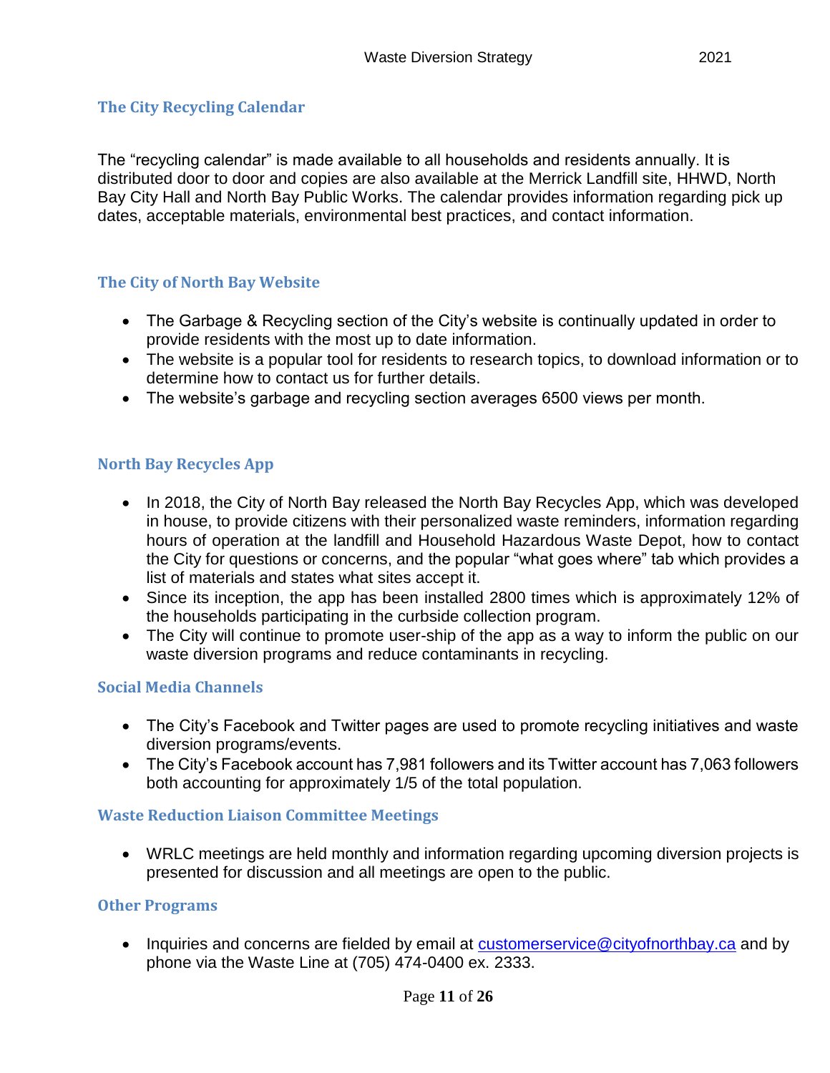## <span id="page-11-0"></span>**The City Recycling Calendar**

The "recycling calendar" is made available to all households and residents annually. It is distributed door to door and copies are also available at the Merrick Landfill site, HHWD, North Bay City Hall and North Bay Public Works. The calendar provides information regarding pick up dates, acceptable materials, environmental best practices, and contact information.

## <span id="page-11-1"></span>**The City of North Bay Website**

- The Garbage & Recycling section of the City's website is continually updated in order to provide residents with the most up to date information.
- The website is a popular tool for residents to research topics, to download information or to determine how to contact us for further details.
- The website's garbage and recycling section averages 6500 views per month.

## <span id="page-11-2"></span>**North Bay Recycles App**

- In 2018, the City of North Bay released the North Bay Recycles App, which was developed in house, to provide citizens with their personalized waste reminders, information regarding hours of operation at the landfill and Household Hazardous Waste Depot, how to contact the City for questions or concerns, and the popular "what goes where" tab which provides a list of materials and states what sites accept it.
- Since its inception, the app has been installed 2800 times which is approximately 12% of the households participating in the curbside collection program.
- The City will continue to promote user-ship of the app as a way to inform the public on our waste diversion programs and reduce contaminants in recycling.

#### <span id="page-11-3"></span>**Social Media Channels**

- The City's Facebook and Twitter pages are used to promote recycling initiatives and waste diversion programs/events.
- The City's Facebook account has 7,981 followers and its Twitter account has 7,063 followers both accounting for approximately 1/5 of the total population.

#### <span id="page-11-4"></span>**Waste Reduction Liaison Committee Meetings**

 WRLC meetings are held monthly and information regarding upcoming diversion projects is presented for discussion and all meetings are open to the public.

#### <span id="page-11-5"></span>**Other Programs**

• Inquiries and concerns are fielded by email at customerservice  $@$  cityofnorthbay.ca and by phone via the Waste Line at (705) 474-0400 ex. 2333.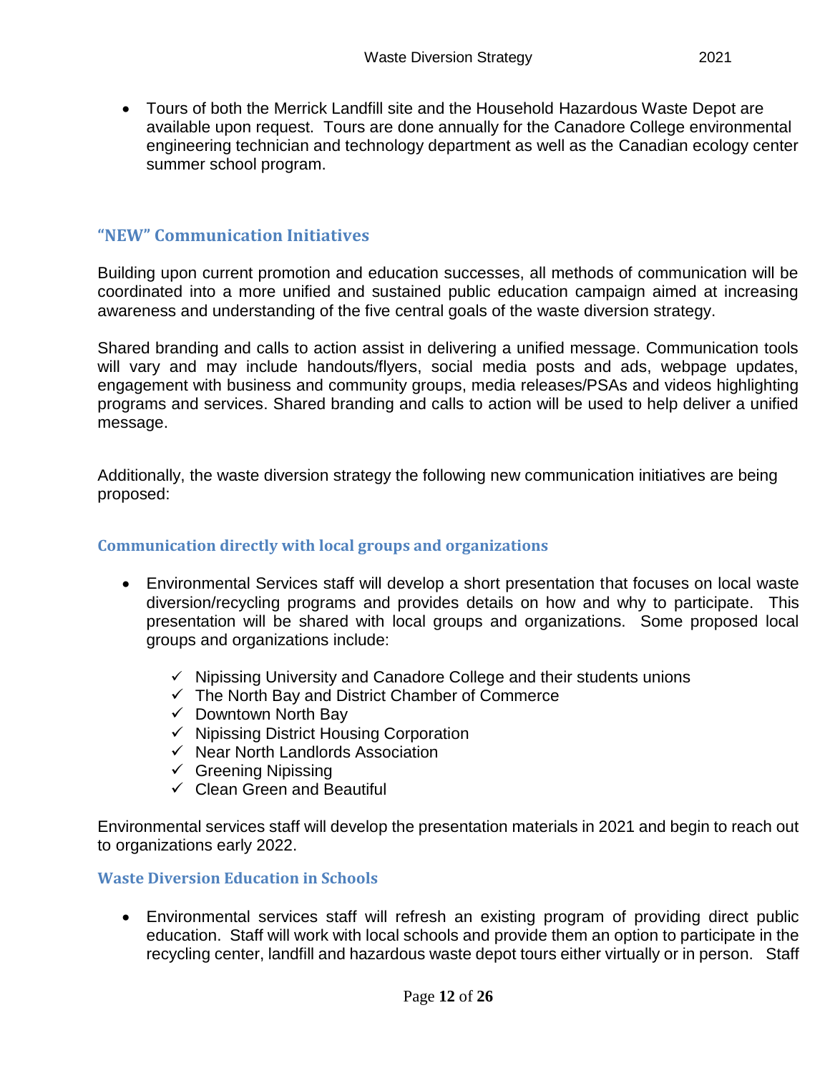Tours of both the Merrick Landfill site and the Household Hazardous Waste Depot are available upon request. Tours are done annually for the Canadore College environmental engineering technician and technology department as well as the Canadian ecology center summer school program.

#### <span id="page-12-0"></span>**"NEW" Communication Initiatives**

Building upon current promotion and education successes, all methods of communication will be coordinated into a more unified and sustained public education campaign aimed at increasing awareness and understanding of the five central goals of the waste diversion strategy.

Shared branding and calls to action assist in delivering a unified message. Communication tools will vary and may include handouts/flyers, social media posts and ads, webpage updates, engagement with business and community groups, media releases/PSAs and videos highlighting programs and services. Shared branding and calls to action will be used to help deliver a unified message.

Additionally, the waste diversion strategy the following new communication initiatives are being proposed:

#### <span id="page-12-1"></span>**Communication directly with local groups and organizations**

- Environmental Services staff will develop a short presentation that focuses on local waste diversion/recycling programs and provides details on how and why to participate. This presentation will be shared with local groups and organizations. Some proposed local groups and organizations include:
	- $\checkmark$  Nipissing University and Canadore College and their students unions
	- $\checkmark$  The North Bay and District Chamber of Commerce
	- $\checkmark$  Downtown North Bay
	- $\checkmark$  Nipissing District Housing Corporation
	- $\checkmark$  Near North Landlords Association
	- $\checkmark$  Greening Nipissing
	- $\checkmark$  Clean Green and Beautiful

Environmental services staff will develop the presentation materials in 2021 and begin to reach out to organizations early 2022.

#### <span id="page-12-2"></span>**Waste Diversion Education in Schools**

 Environmental services staff will refresh an existing program of providing direct public education. Staff will work with local schools and provide them an option to participate in the recycling center, landfill and hazardous waste depot tours either virtually or in person. Staff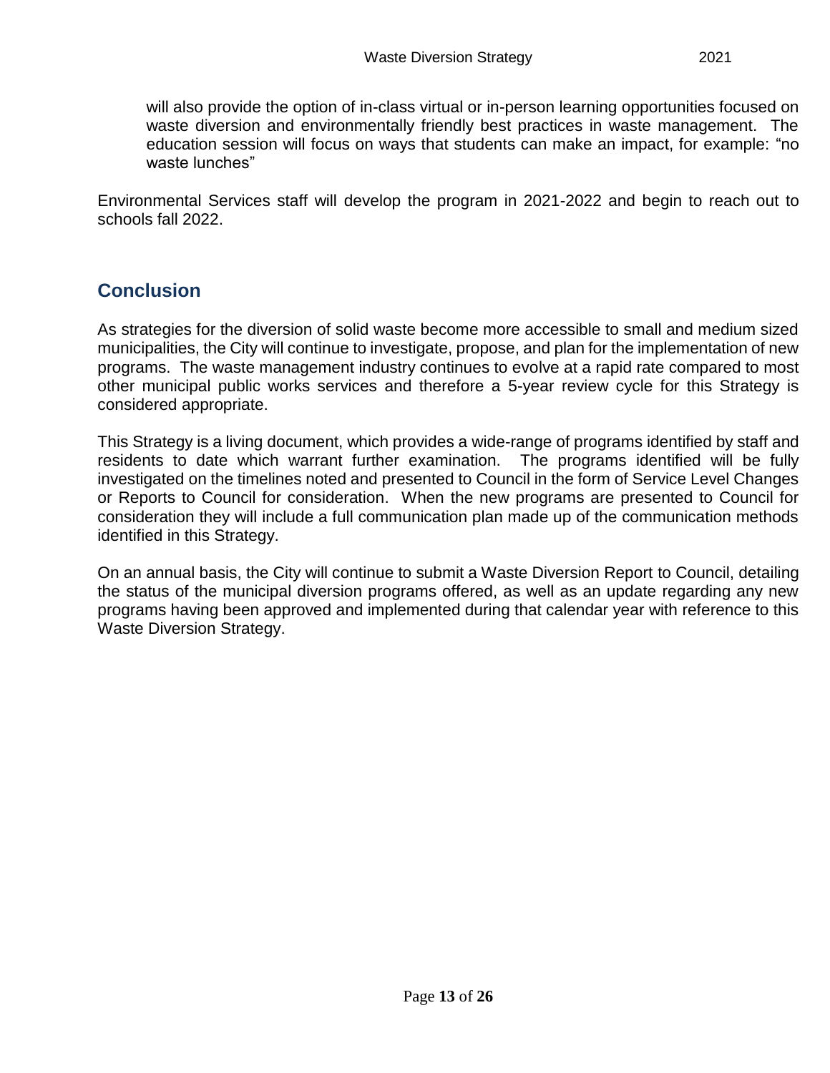will also provide the option of in-class virtual or in-person learning opportunities focused on waste diversion and environmentally friendly best practices in waste management. The education session will focus on ways that students can make an impact, for example: "no waste lunches"

Environmental Services staff will develop the program in 2021-2022 and begin to reach out to schools fall 2022.

# <span id="page-13-0"></span>**Conclusion**

As strategies for the diversion of solid waste become more accessible to small and medium sized municipalities, the City will continue to investigate, propose, and plan for the implementation of new programs. The waste management industry continues to evolve at a rapid rate compared to most other municipal public works services and therefore a 5-year review cycle for this Strategy is considered appropriate.

This Strategy is a living document, which provides a wide-range of programs identified by staff and residents to date which warrant further examination. The programs identified will be fully investigated on the timelines noted and presented to Council in the form of Service Level Changes or Reports to Council for consideration. When the new programs are presented to Council for consideration they will include a full communication plan made up of the communication methods identified in this Strategy.

On an annual basis, the City will continue to submit a Waste Diversion Report to Council, detailing the status of the municipal diversion programs offered, as well as an update regarding any new programs having been approved and implemented during that calendar year with reference to this Waste Diversion Strategy.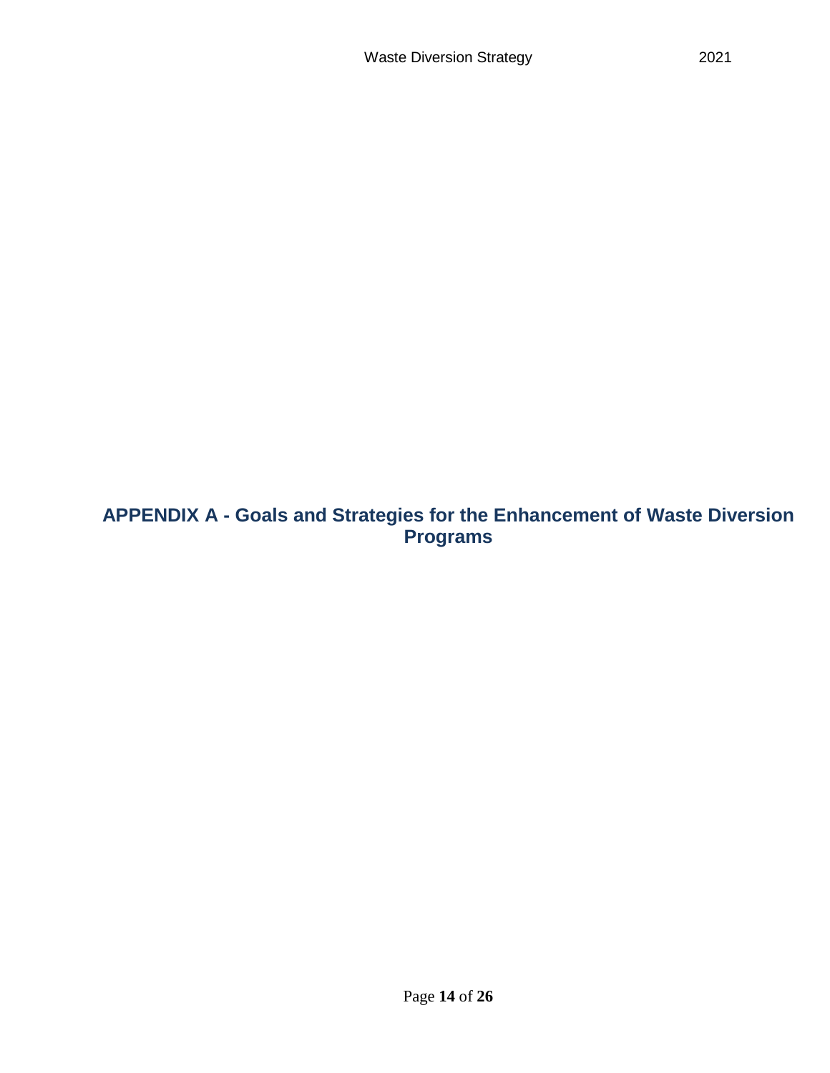<span id="page-14-0"></span>**APPENDIX A - Goals and Strategies for the Enhancement of Waste Diversion Programs**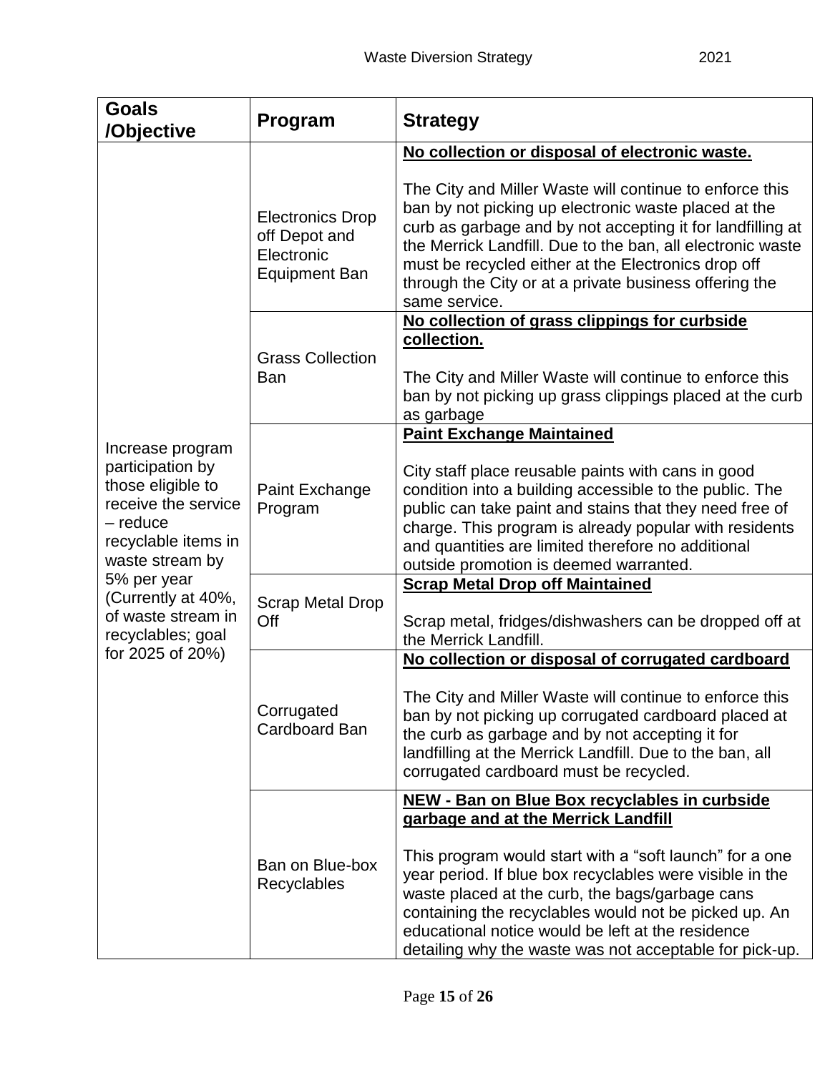| <b>Goals</b><br>/Objective                                                                                                             | Program                                                                 | <b>Strategy</b>                                                                                                                                                                                                                                                                                                                                                               |  |  |
|----------------------------------------------------------------------------------------------------------------------------------------|-------------------------------------------------------------------------|-------------------------------------------------------------------------------------------------------------------------------------------------------------------------------------------------------------------------------------------------------------------------------------------------------------------------------------------------------------------------------|--|--|
|                                                                                                                                        |                                                                         | No collection or disposal of electronic waste.                                                                                                                                                                                                                                                                                                                                |  |  |
|                                                                                                                                        | <b>Electronics Drop</b><br>off Depot and<br>Electronic<br>Equipment Ban | The City and Miller Waste will continue to enforce this<br>ban by not picking up electronic waste placed at the<br>curb as garbage and by not accepting it for landfilling at<br>the Merrick Landfill. Due to the ban, all electronic waste<br>must be recycled either at the Electronics drop off<br>through the City or at a private business offering the<br>same service. |  |  |
|                                                                                                                                        | <b>Grass Collection</b>                                                 | No collection of grass clippings for curbside<br>collection.                                                                                                                                                                                                                                                                                                                  |  |  |
|                                                                                                                                        | Ban                                                                     | The City and Miller Waste will continue to enforce this<br>ban by not picking up grass clippings placed at the curb<br>as garbage                                                                                                                                                                                                                                             |  |  |
|                                                                                                                                        |                                                                         | <b>Paint Exchange Maintained</b>                                                                                                                                                                                                                                                                                                                                              |  |  |
| Increase program<br>participation by<br>those eligible to<br>receive the service<br>- reduce<br>recyclable items in<br>waste stream by | Paint Exchange<br>Program                                               | City staff place reusable paints with cans in good<br>condition into a building accessible to the public. The<br>public can take paint and stains that they need free of<br>charge. This program is already popular with residents<br>and quantities are limited therefore no additional<br>outside promotion is deemed warranted.                                            |  |  |
| 5% per year                                                                                                                            | <b>Scrap Metal Drop</b><br>Off                                          | <b>Scrap Metal Drop off Maintained</b>                                                                                                                                                                                                                                                                                                                                        |  |  |
| (Currently at 40%,<br>of waste stream in<br>recyclables; goal                                                                          |                                                                         | Scrap metal, fridges/dishwashers can be dropped off at<br>the Merrick Landfill.                                                                                                                                                                                                                                                                                               |  |  |
| for 2025 of 20%)                                                                                                                       | Corrugated<br><b>Cardboard Ban</b>                                      | No collection or disposal of corrugated cardboard                                                                                                                                                                                                                                                                                                                             |  |  |
|                                                                                                                                        |                                                                         | The City and Miller Waste will continue to enforce this<br>ban by not picking up corrugated cardboard placed at<br>the curb as garbage and by not accepting it for<br>landfilling at the Merrick Landfill. Due to the ban, all<br>corrugated cardboard must be recycled.                                                                                                      |  |  |
|                                                                                                                                        | Ban on Blue-box<br>Recyclables                                          | NEW - Ban on Blue Box recyclables in curbside<br>garbage and at the Merrick Landfill                                                                                                                                                                                                                                                                                          |  |  |
|                                                                                                                                        |                                                                         | This program would start with a "soft launch" for a one<br>year period. If blue box recyclables were visible in the<br>waste placed at the curb, the bags/garbage cans<br>containing the recyclables would not be picked up. An<br>educational notice would be left at the residence<br>detailing why the waste was not acceptable for pick-up.                               |  |  |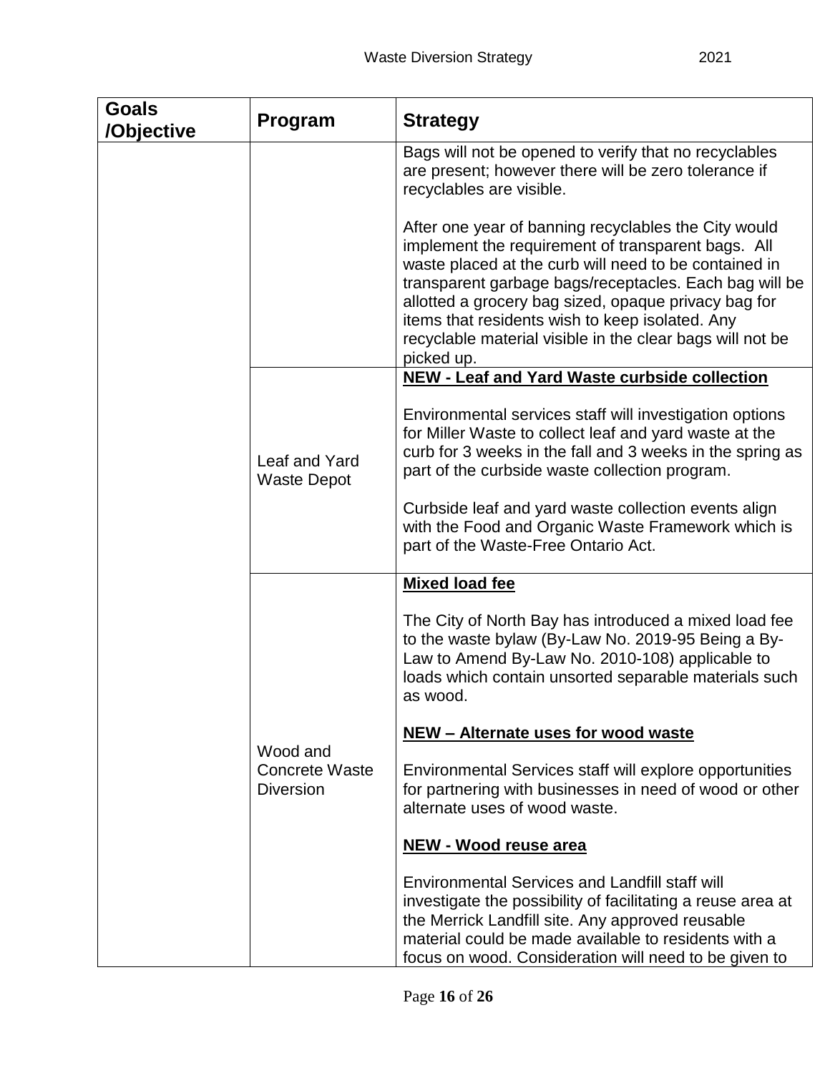| <b>Goals</b><br>/Objective | Program                                               | <b>Strategy</b>                                                                                                                                                                                                                                                                                                                                                                                                     |
|----------------------------|-------------------------------------------------------|---------------------------------------------------------------------------------------------------------------------------------------------------------------------------------------------------------------------------------------------------------------------------------------------------------------------------------------------------------------------------------------------------------------------|
|                            |                                                       | Bags will not be opened to verify that no recyclables<br>are present; however there will be zero tolerance if<br>recyclables are visible.                                                                                                                                                                                                                                                                           |
|                            |                                                       | After one year of banning recyclables the City would<br>implement the requirement of transparent bags. All<br>waste placed at the curb will need to be contained in<br>transparent garbage bags/receptacles. Each bag will be<br>allotted a grocery bag sized, opaque privacy bag for<br>items that residents wish to keep isolated. Any<br>recyclable material visible in the clear bags will not be<br>picked up. |
|                            |                                                       | NEW - Leaf and Yard Waste curbside collection                                                                                                                                                                                                                                                                                                                                                                       |
|                            | Leaf and Yard<br><b>Waste Depot</b>                   | Environmental services staff will investigation options<br>for Miller Waste to collect leaf and yard waste at the<br>curb for 3 weeks in the fall and 3 weeks in the spring as<br>part of the curbside waste collection program.                                                                                                                                                                                    |
|                            |                                                       | Curbside leaf and yard waste collection events align<br>with the Food and Organic Waste Framework which is<br>part of the Waste-Free Ontario Act.                                                                                                                                                                                                                                                                   |
|                            |                                                       | <b>Mixed load fee</b>                                                                                                                                                                                                                                                                                                                                                                                               |
|                            | Wood and<br><b>Concrete Waste</b><br><b>Diversion</b> | The City of North Bay has introduced a mixed load fee<br>to the waste bylaw (By-Law No. 2019-95 Being a By-<br>Law to Amend By-Law No. 2010-108) applicable to<br>loads which contain unsorted separable materials such<br>as wood.                                                                                                                                                                                 |
|                            |                                                       | NEW - Alternate uses for wood waste                                                                                                                                                                                                                                                                                                                                                                                 |
|                            |                                                       | Environmental Services staff will explore opportunities<br>for partnering with businesses in need of wood or other<br>alternate uses of wood waste.                                                                                                                                                                                                                                                                 |
|                            |                                                       | <b>NEW - Wood reuse area</b>                                                                                                                                                                                                                                                                                                                                                                                        |
|                            |                                                       | <b>Environmental Services and Landfill staff will</b><br>investigate the possibility of facilitating a reuse area at<br>the Merrick Landfill site. Any approved reusable<br>material could be made available to residents with a<br>focus on wood. Consideration will need to be given to                                                                                                                           |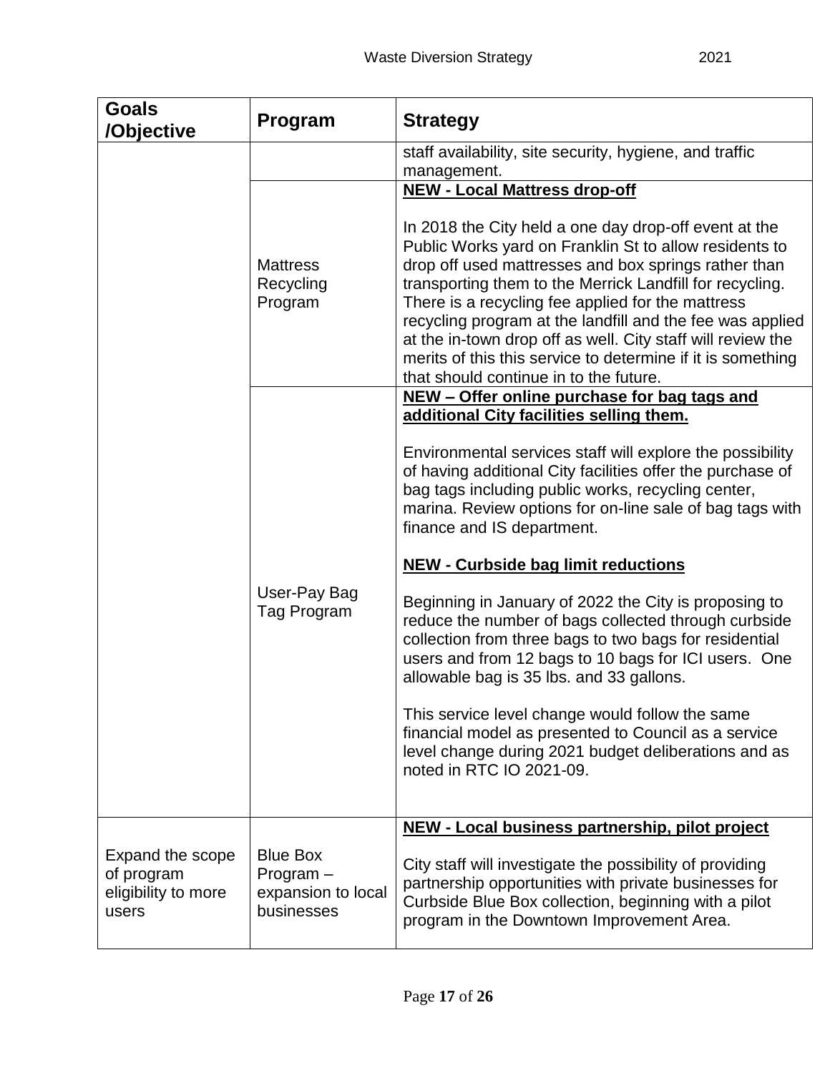| <b>Goals</b><br>/Objective                                     | Program                                                            | <b>Strategy</b>                                                                                                                                                                                                                                                                                                                                                                                                                                                                                                               |  |  |
|----------------------------------------------------------------|--------------------------------------------------------------------|-------------------------------------------------------------------------------------------------------------------------------------------------------------------------------------------------------------------------------------------------------------------------------------------------------------------------------------------------------------------------------------------------------------------------------------------------------------------------------------------------------------------------------|--|--|
|                                                                |                                                                    | staff availability, site security, hygiene, and traffic<br>management.                                                                                                                                                                                                                                                                                                                                                                                                                                                        |  |  |
|                                                                |                                                                    | <b>NEW - Local Mattress drop-off</b>                                                                                                                                                                                                                                                                                                                                                                                                                                                                                          |  |  |
|                                                                | <b>Mattress</b><br>Recycling<br>Program                            | In 2018 the City held a one day drop-off event at the<br>Public Works yard on Franklin St to allow residents to<br>drop off used mattresses and box springs rather than<br>transporting them to the Merrick Landfill for recycling.<br>There is a recycling fee applied for the mattress<br>recycling program at the landfill and the fee was applied<br>at the in-town drop off as well. City staff will review the<br>merits of this this service to determine if it is something<br>that should continue in to the future. |  |  |
|                                                                |                                                                    | NEW - Offer online purchase for bag tags and<br>additional City facilities selling them.                                                                                                                                                                                                                                                                                                                                                                                                                                      |  |  |
|                                                                |                                                                    | Environmental services staff will explore the possibility<br>of having additional City facilities offer the purchase of<br>bag tags including public works, recycling center,<br>marina. Review options for on-line sale of bag tags with<br>finance and IS department.                                                                                                                                                                                                                                                       |  |  |
|                                                                |                                                                    | <b>NEW - Curbside bag limit reductions</b>                                                                                                                                                                                                                                                                                                                                                                                                                                                                                    |  |  |
|                                                                | User-Pay Bag<br>Tag Program                                        | Beginning in January of 2022 the City is proposing to<br>reduce the number of bags collected through curbside<br>collection from three bags to two bags for residential<br>users and from 12 bags to 10 bags for ICI users. One<br>allowable bag is 35 lbs. and 33 gallons.                                                                                                                                                                                                                                                   |  |  |
|                                                                |                                                                    | This service level change would follow the same<br>financial model as presented to Council as a service<br>level change during 2021 budget deliberations and as<br>noted in RTC IO 2021-09.                                                                                                                                                                                                                                                                                                                                   |  |  |
|                                                                |                                                                    | NEW - Local business partnership, pilot project                                                                                                                                                                                                                                                                                                                                                                                                                                                                               |  |  |
| Expand the scope<br>of program<br>eligibility to more<br>users | <b>Blue Box</b><br>$Program -$<br>expansion to local<br>businesses | City staff will investigate the possibility of providing<br>partnership opportunities with private businesses for<br>Curbside Blue Box collection, beginning with a pilot<br>program in the Downtown Improvement Area.                                                                                                                                                                                                                                                                                                        |  |  |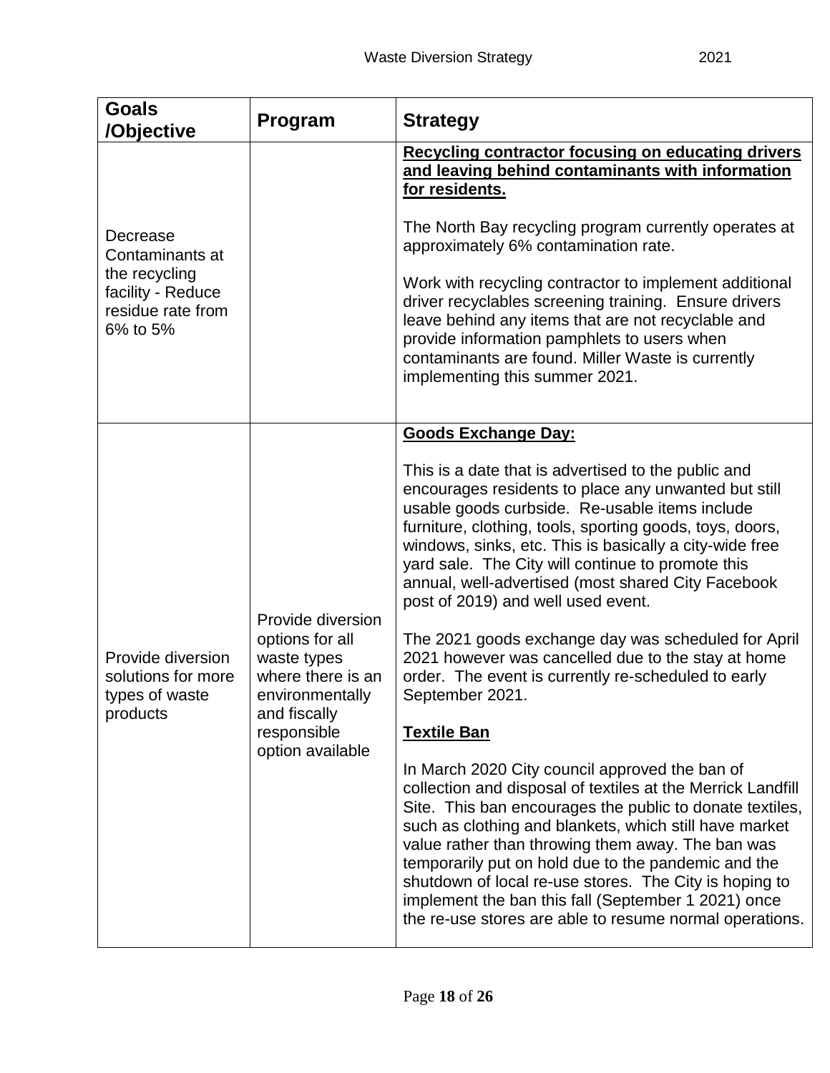| <b>Goals</b><br>/Objective                                                                         | Program                                                                                                                                        | <b>Strategy</b>                                                                                                                                                                                                                                                                                                                                                                                                                                                                                                                                                                                                                                                                                                                                                                                                                                                                                                                                                                                                                                                                                                                                                                                                 |  |  |
|----------------------------------------------------------------------------------------------------|------------------------------------------------------------------------------------------------------------------------------------------------|-----------------------------------------------------------------------------------------------------------------------------------------------------------------------------------------------------------------------------------------------------------------------------------------------------------------------------------------------------------------------------------------------------------------------------------------------------------------------------------------------------------------------------------------------------------------------------------------------------------------------------------------------------------------------------------------------------------------------------------------------------------------------------------------------------------------------------------------------------------------------------------------------------------------------------------------------------------------------------------------------------------------------------------------------------------------------------------------------------------------------------------------------------------------------------------------------------------------|--|--|
| Decrease<br>Contaminants at<br>the recycling<br>facility - Reduce<br>residue rate from<br>6% to 5% |                                                                                                                                                | Recycling contractor focusing on educating drivers<br>and leaving behind contaminants with information<br>for residents.<br>The North Bay recycling program currently operates at<br>approximately 6% contamination rate.<br>Work with recycling contractor to implement additional<br>driver recyclables screening training. Ensure drivers<br>leave behind any items that are not recyclable and<br>provide information pamphlets to users when<br>contaminants are found. Miller Waste is currently<br>implementing this summer 2021.                                                                                                                                                                                                                                                                                                                                                                                                                                                                                                                                                                                                                                                                        |  |  |
| Provide diversion<br>solutions for more<br>types of waste<br>products                              | Provide diversion<br>options for all<br>waste types<br>where there is an<br>environmentally<br>and fiscally<br>responsible<br>option available | <b>Goods Exchange Day:</b><br>This is a date that is advertised to the public and<br>encourages residents to place any unwanted but still<br>usable goods curbside. Re-usable items include<br>furniture, clothing, tools, sporting goods, toys, doors,<br>windows, sinks, etc. This is basically a city-wide free<br>yard sale. The City will continue to promote this<br>annual, well-advertised (most shared City Facebook<br>post of 2019) and well used event.<br>The 2021 goods exchange day was scheduled for April<br>2021 however was cancelled due to the stay at home<br>order. The event is currently re-scheduled to early<br>September 2021.<br><b>Textile Ban</b><br>In March 2020 City council approved the ban of<br>collection and disposal of textiles at the Merrick Landfill<br>Site. This ban encourages the public to donate textiles,<br>such as clothing and blankets, which still have market<br>value rather than throwing them away. The ban was<br>temporarily put on hold due to the pandemic and the<br>shutdown of local re-use stores. The City is hoping to<br>implement the ban this fall (September 1 2021) once<br>the re-use stores are able to resume normal operations. |  |  |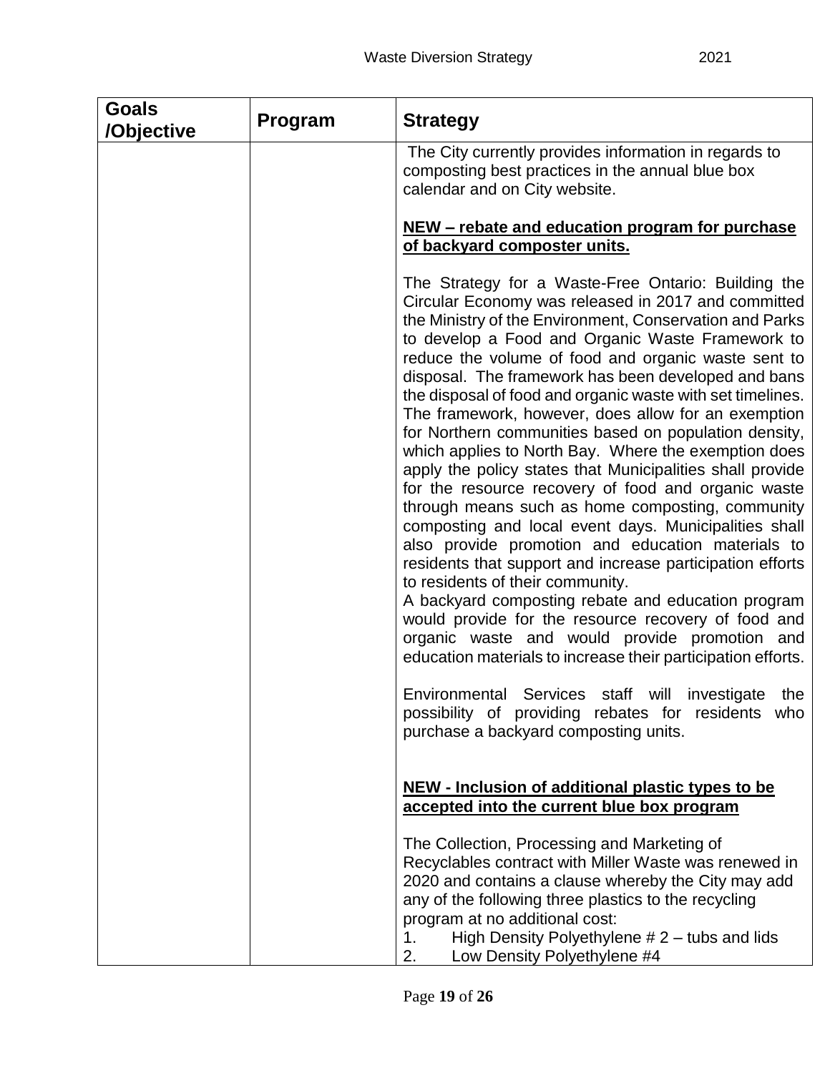| <b>Goals</b><br>/Objective | Program | <b>Strategy</b>                                                                                                                                                                                                                                                                                                                                                                                                                                                                                                                                                                                                                                                                                                                                                                                                                                                                                                                                                                                                                                                                                                                                                                                    |  |
|----------------------------|---------|----------------------------------------------------------------------------------------------------------------------------------------------------------------------------------------------------------------------------------------------------------------------------------------------------------------------------------------------------------------------------------------------------------------------------------------------------------------------------------------------------------------------------------------------------------------------------------------------------------------------------------------------------------------------------------------------------------------------------------------------------------------------------------------------------------------------------------------------------------------------------------------------------------------------------------------------------------------------------------------------------------------------------------------------------------------------------------------------------------------------------------------------------------------------------------------------------|--|
|                            |         | The City currently provides information in regards to<br>composting best practices in the annual blue box<br>calendar and on City website.                                                                                                                                                                                                                                                                                                                                                                                                                                                                                                                                                                                                                                                                                                                                                                                                                                                                                                                                                                                                                                                         |  |
|                            |         | <u>NEW – rebate and education program for purchase</u><br>of backyard composter units.                                                                                                                                                                                                                                                                                                                                                                                                                                                                                                                                                                                                                                                                                                                                                                                                                                                                                                                                                                                                                                                                                                             |  |
|                            |         | The Strategy for a Waste-Free Ontario: Building the<br>Circular Economy was released in 2017 and committed<br>the Ministry of the Environment, Conservation and Parks<br>to develop a Food and Organic Waste Framework to<br>reduce the volume of food and organic waste sent to<br>disposal. The framework has been developed and bans<br>the disposal of food and organic waste with set timelines.<br>The framework, however, does allow for an exemption<br>for Northern communities based on population density,<br>which applies to North Bay. Where the exemption does<br>apply the policy states that Municipalities shall provide<br>for the resource recovery of food and organic waste<br>through means such as home composting, community<br>composting and local event days. Municipalities shall<br>also provide promotion and education materials to<br>residents that support and increase participation efforts<br>to residents of their community.<br>A backyard composting rebate and education program<br>would provide for the resource recovery of food and<br>organic waste and would provide promotion and<br>education materials to increase their participation efforts. |  |
|                            |         | Environmental Services staff will investigate<br>the<br>possibility of providing rebates for residents who<br>purchase a backyard composting units.                                                                                                                                                                                                                                                                                                                                                                                                                                                                                                                                                                                                                                                                                                                                                                                                                                                                                                                                                                                                                                                |  |
|                            |         | NEW - Inclusion of additional plastic types to be<br>accepted into the current blue box program                                                                                                                                                                                                                                                                                                                                                                                                                                                                                                                                                                                                                                                                                                                                                                                                                                                                                                                                                                                                                                                                                                    |  |
|                            |         | The Collection, Processing and Marketing of<br>Recyclables contract with Miller Waste was renewed in<br>2020 and contains a clause whereby the City may add<br>any of the following three plastics to the recycling<br>program at no additional cost:<br>High Density Polyethylene $# 2$ – tubs and lids<br>1.<br>Low Density Polyethylene #4<br>2.                                                                                                                                                                                                                                                                                                                                                                                                                                                                                                                                                                                                                                                                                                                                                                                                                                                |  |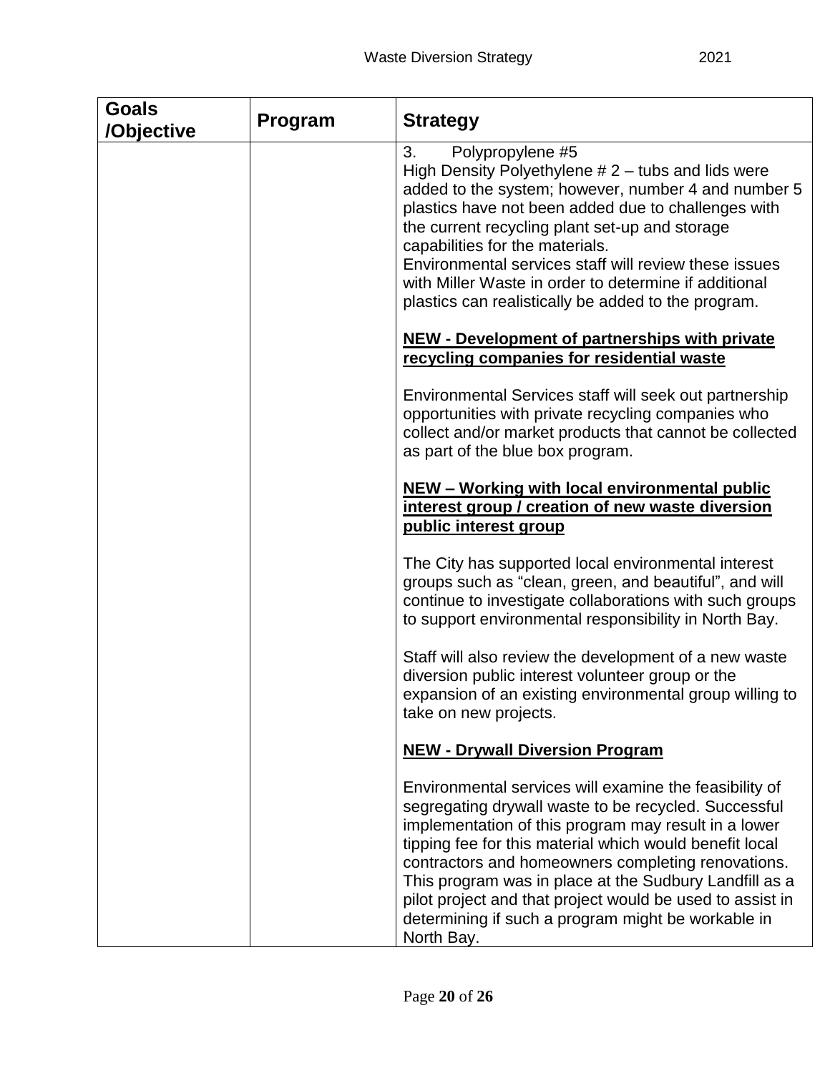| <b>Goals</b><br>/Objective | Program | <b>Strategy</b>                                                                                                                                                                                                                                                                                                                                                                                                                                                                    |
|----------------------------|---------|------------------------------------------------------------------------------------------------------------------------------------------------------------------------------------------------------------------------------------------------------------------------------------------------------------------------------------------------------------------------------------------------------------------------------------------------------------------------------------|
|                            |         | 3.<br>Polypropylene #5<br>High Density Polyethylene $# 2$ – tubs and lids were<br>added to the system; however, number 4 and number 5<br>plastics have not been added due to challenges with<br>the current recycling plant set-up and storage<br>capabilities for the materials.<br>Environmental services staff will review these issues<br>with Miller Waste in order to determine if additional<br>plastics can realistically be added to the program.                         |
|                            |         | <b>NEW - Development of partnerships with private</b><br>recycling companies for residential waste                                                                                                                                                                                                                                                                                                                                                                                 |
|                            |         | Environmental Services staff will seek out partnership<br>opportunities with private recycling companies who<br>collect and/or market products that cannot be collected<br>as part of the blue box program.                                                                                                                                                                                                                                                                        |
|                            |         | NEW - Working with local environmental public<br>interest group / creation of new waste diversion<br>public interest group                                                                                                                                                                                                                                                                                                                                                         |
|                            |         | The City has supported local environmental interest<br>groups such as "clean, green, and beautiful", and will<br>continue to investigate collaborations with such groups<br>to support environmental responsibility in North Bay.                                                                                                                                                                                                                                                  |
|                            |         | Staff will also review the development of a new waste<br>diversion public interest volunteer group or the<br>expansion of an existing environmental group willing to<br>take on new projects.                                                                                                                                                                                                                                                                                      |
|                            |         | <b>NEW - Drywall Diversion Program</b>                                                                                                                                                                                                                                                                                                                                                                                                                                             |
|                            |         | Environmental services will examine the feasibility of<br>segregating drywall waste to be recycled. Successful<br>implementation of this program may result in a lower<br>tipping fee for this material which would benefit local<br>contractors and homeowners completing renovations.<br>This program was in place at the Sudbury Landfill as a<br>pilot project and that project would be used to assist in<br>determining if such a program might be workable in<br>North Bay. |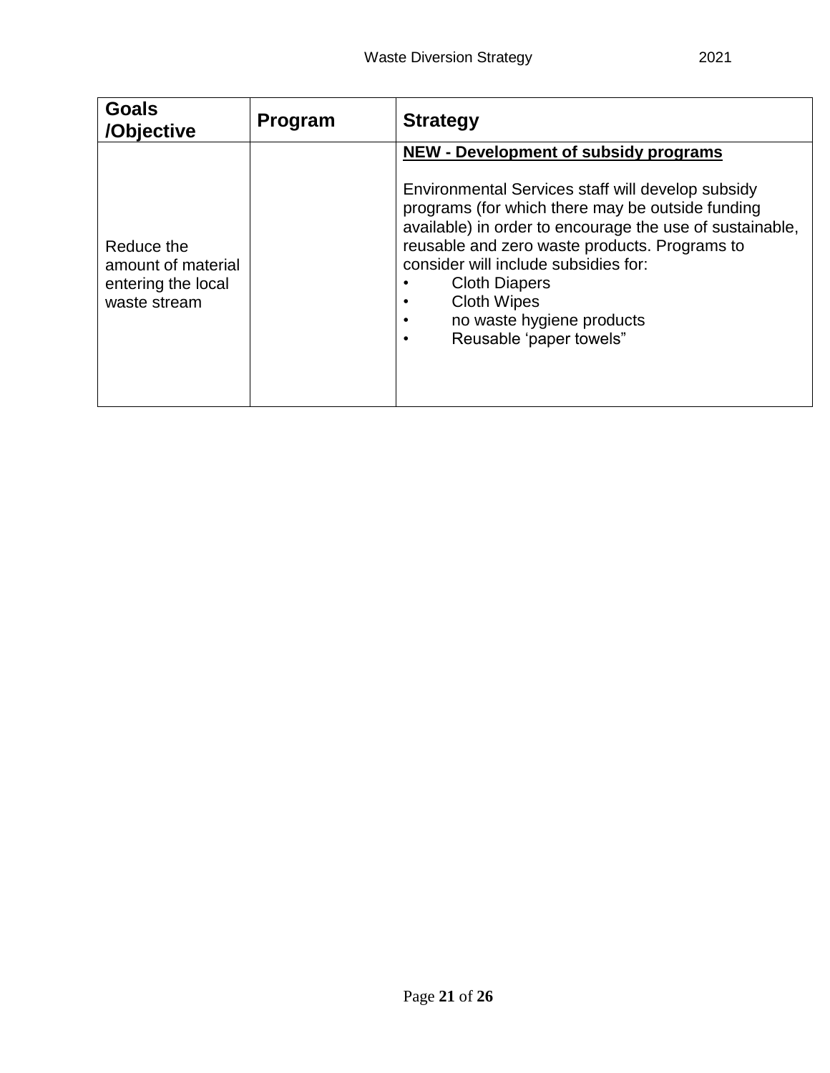| <b>Goals</b><br>/Objective                                             | <b>Program</b> | <b>Strategy</b>                                                                                                                                                                                                                                                                                                                                                                                                  |
|------------------------------------------------------------------------|----------------|------------------------------------------------------------------------------------------------------------------------------------------------------------------------------------------------------------------------------------------------------------------------------------------------------------------------------------------------------------------------------------------------------------------|
| Reduce the<br>amount of material<br>entering the local<br>waste stream |                | <b>NEW - Development of subsidy programs</b><br>Environmental Services staff will develop subsidy<br>programs (for which there may be outside funding<br>available) in order to encourage the use of sustainable,<br>reusable and zero waste products. Programs to<br>consider will include subsidies for:<br><b>Cloth Diapers</b><br><b>Cloth Wipes</b><br>no waste hygiene products<br>Reusable 'paper towels" |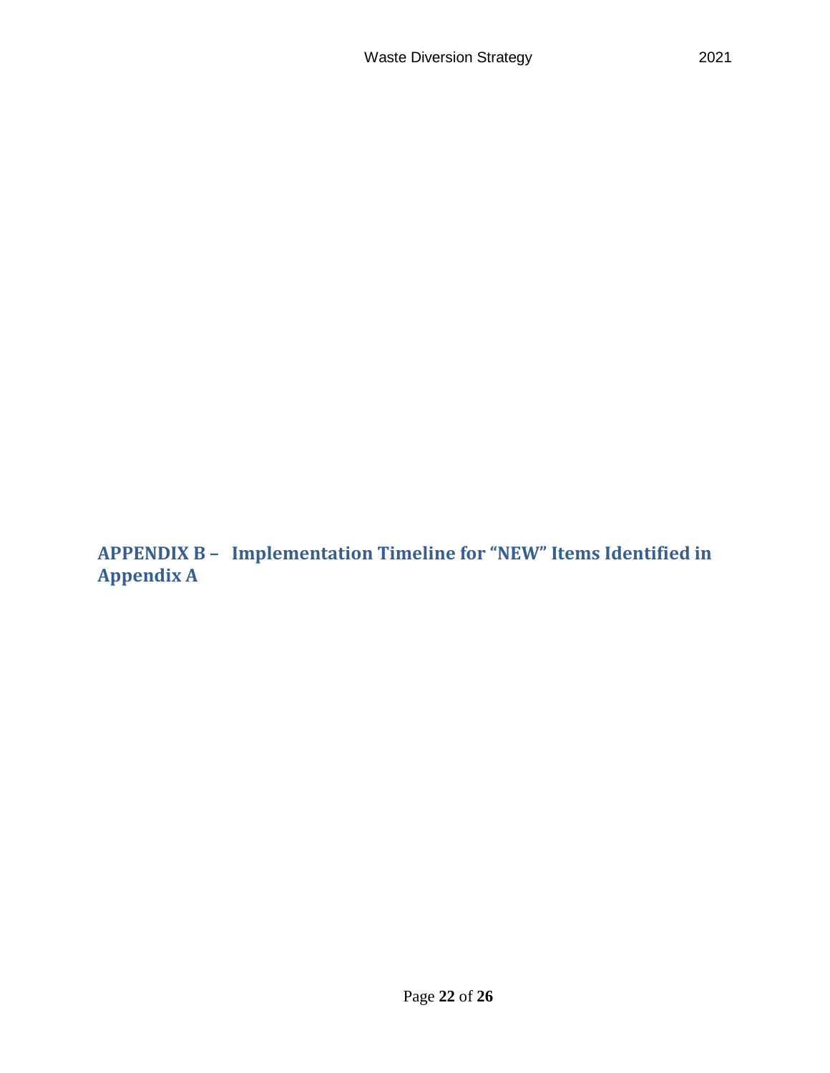<span id="page-22-0"></span>**APPENDIX B – Implementation Timeline for "NEW" Items Identified in Appendix A**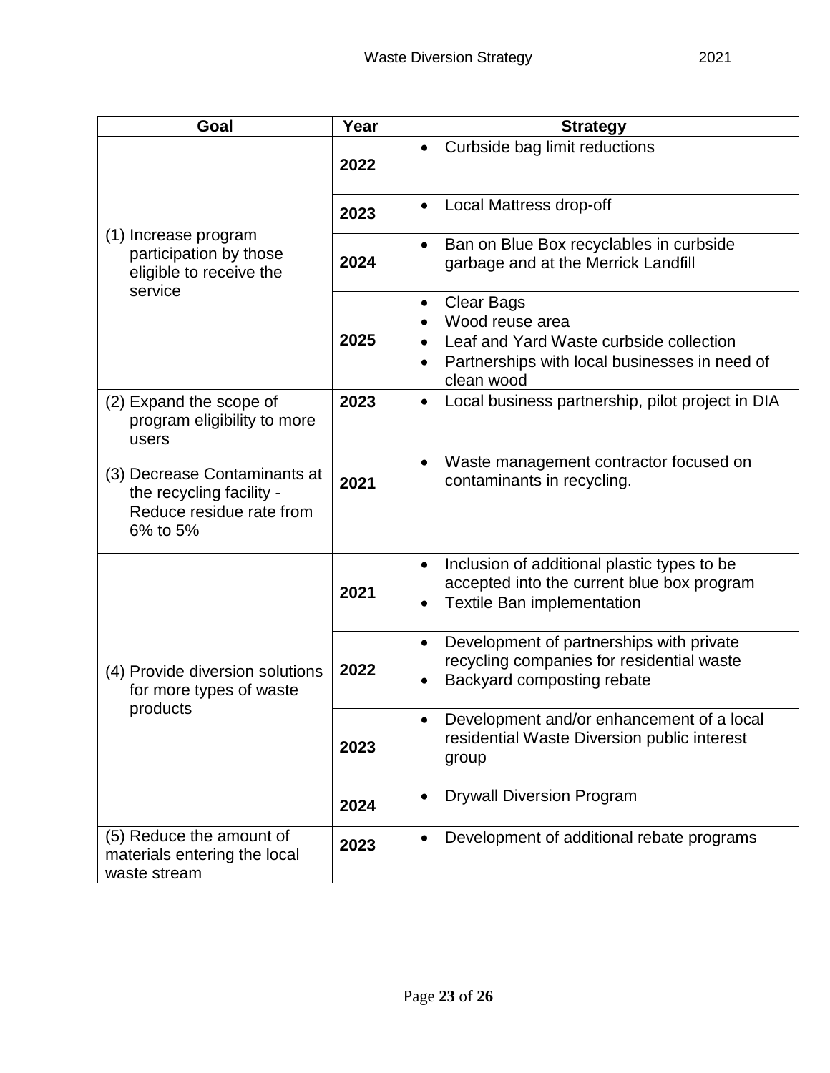| Goal                                                                                             | Year | <b>Strategy</b>                                                                                                                                |  |  |
|--------------------------------------------------------------------------------------------------|------|------------------------------------------------------------------------------------------------------------------------------------------------|--|--|
|                                                                                                  | 2022 | Curbside bag limit reductions                                                                                                                  |  |  |
|                                                                                                  | 2023 | Local Mattress drop-off                                                                                                                        |  |  |
| (1) Increase program<br>participation by those<br>eligible to receive the<br>service             | 2024 | Ban on Blue Box recyclables in curbside<br>$\bullet$<br>garbage and at the Merrick Landfill                                                    |  |  |
|                                                                                                  | 2025 | <b>Clear Bags</b><br>Wood reuse area<br>Leaf and Yard Waste curbside collection<br>Partnerships with local businesses in need of<br>clean wood |  |  |
| (2) Expand the scope of<br>program eligibility to more<br>users                                  | 2023 | Local business partnership, pilot project in DIA<br>$\bullet$                                                                                  |  |  |
| (3) Decrease Contaminants at<br>the recycling facility -<br>Reduce residue rate from<br>6% to 5% | 2021 | Waste management contractor focused on<br>$\bullet$<br>contaminants in recycling.                                                              |  |  |
|                                                                                                  | 2021 | Inclusion of additional plastic types to be<br>$\bullet$<br>accepted into the current blue box program<br><b>Textile Ban implementation</b>    |  |  |
| (4) Provide diversion solutions<br>for more types of waste                                       | 2022 | Development of partnerships with private<br>$\bullet$<br>recycling companies for residential waste<br>Backyard composting rebate               |  |  |
| products                                                                                         | 2023 | Development and/or enhancement of a local<br>٠<br>residential Waste Diversion public interest<br>group                                         |  |  |
|                                                                                                  | 2024 | <b>Drywall Diversion Program</b><br>$\bullet$                                                                                                  |  |  |
| (5) Reduce the amount of<br>materials entering the local<br>waste stream                         | 2023 | Development of additional rebate programs                                                                                                      |  |  |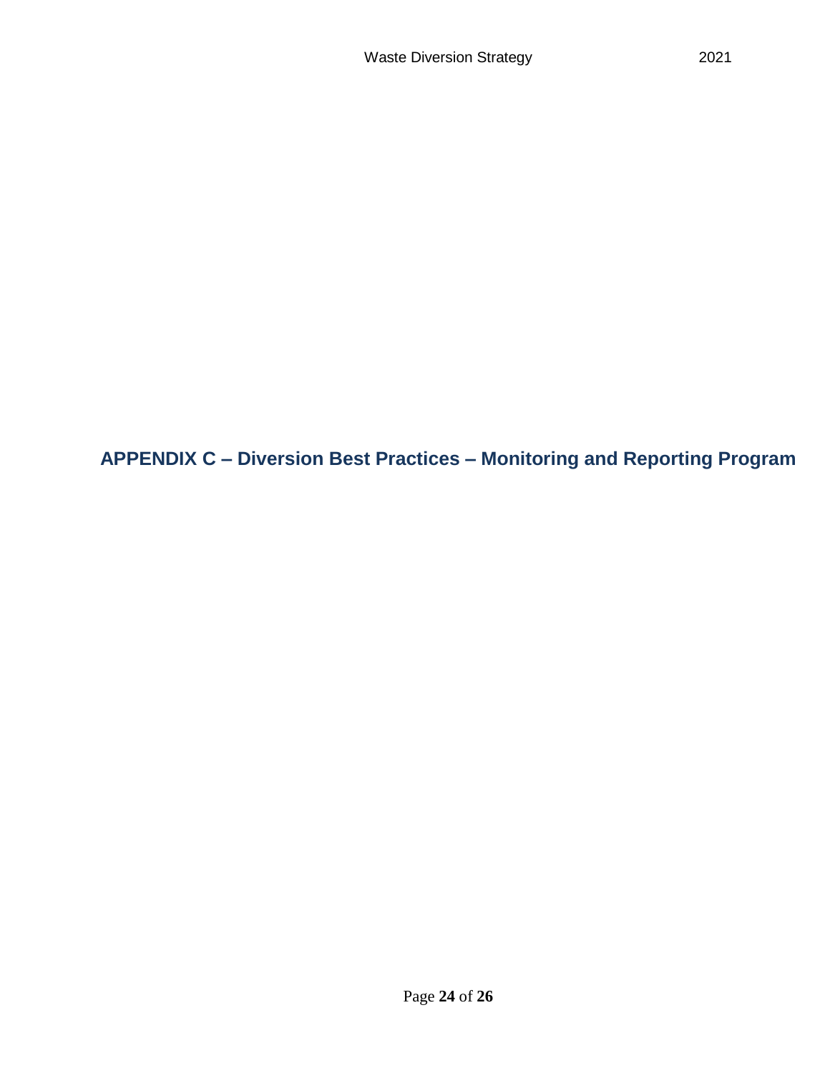<span id="page-24-0"></span>**APPENDIX C – Diversion Best Practices – Monitoring and Reporting Program**